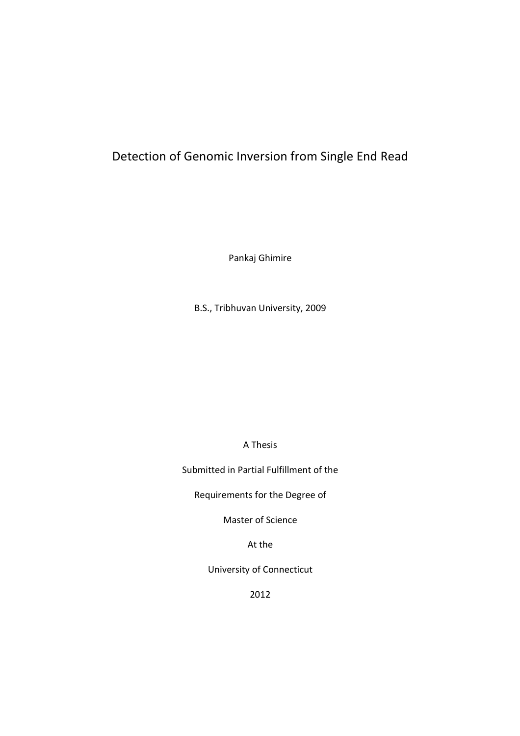# Detection of Genomic Inversion from Single End Read

Pankaj Ghimire

B.S., Tribhuvan University, 2009

A Thesis

Submitted in Partial Fulfillment of the

Requirements for the Degree of

Master of Science

At the

University of Connecticut

2012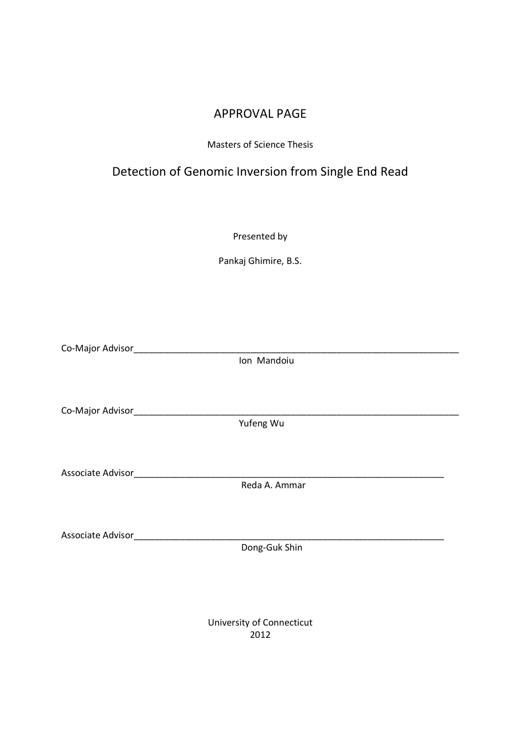# APPROVAL PAGE

## Masters of Science Thesis

# Detection of Genomic Inversion from Single End Read

Presented by

Pankaj Ghimire, B.S.

Co-Major Advisor

Ion Mandoiu

Co-Major Advisor\_\_\_\_\_\_\_\_\_\_\_\_\_\_\_\_\_\_\_\_\_\_\_\_\_\_\_\_\_\_\_\_\_\_\_\_\_\_\_\_\_\_\_\_\_\_\_\_\_\_\_\_\_\_\_\_\_\_\_\_\_\_\_\_

Yufeng Wu

Associate Advisor\_\_\_\_\_\_\_\_\_\_\_\_\_\_\_\_\_\_\_\_\_\_\_\_\_\_\_\_\_\_\_\_\_\_\_\_\_\_\_\_\_\_\_\_\_\_\_\_\_\_\_\_\_\_\_\_\_\_\_\_\_

Reda A. Ammar

Associate Advisor\_\_\_\_\_\_\_\_\_\_\_\_\_\_\_\_\_\_\_\_\_\_\_\_\_\_\_\_\_\_\_\_\_\_\_\_\_\_\_\_\_\_\_\_\_\_\_\_\_\_\_\_\_\_\_\_\_\_\_\_\_

Dong-Guk Shin

University of Connecticut 2012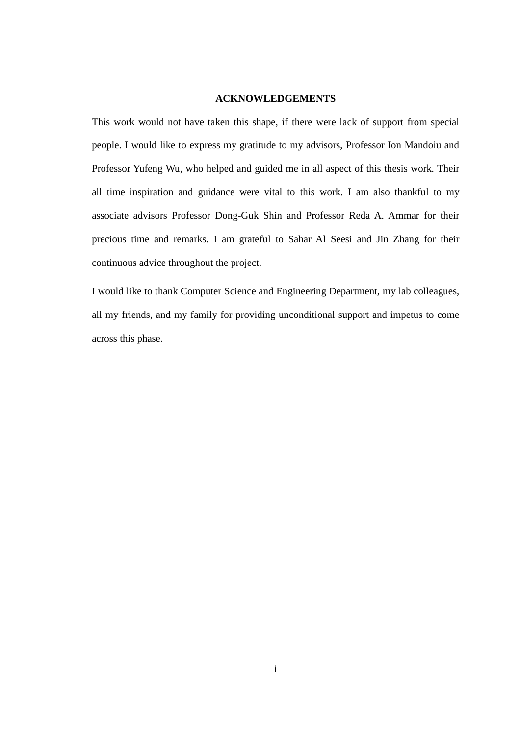## **ACKNOWLEDGEMENTS**

This work would not have taken this shape, if there were lack of support from special people. I would like to express my gratitude to my advisors, Professor Ion Mandoiu and Professor Yufeng Wu, who helped and guided me in all aspect of this thesis work. Their all time inspiration and guidance were vital to this work. I am also thankful to my associate advisors Professor Dong-Guk Shin and Professor Reda A. Ammar for their precious time and remarks. I am grateful to Sahar Al Seesi and Jin Zhang for their continuous advice throughout the project.

I would like to thank Computer Science and Engineering Department, my lab colleagues, all my friends, and my family for providing unconditional support and impetus to come across this phase.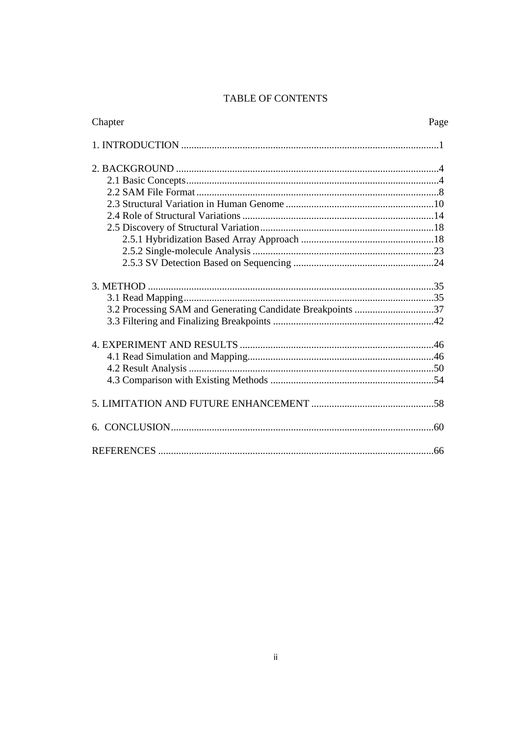# TABLE OF CONTENTS

| Chapter                                                    | Page |
|------------------------------------------------------------|------|
|                                                            |      |
|                                                            |      |
|                                                            |      |
|                                                            |      |
|                                                            |      |
|                                                            |      |
|                                                            |      |
|                                                            |      |
|                                                            |      |
|                                                            |      |
|                                                            |      |
|                                                            |      |
| 3.2 Processing SAM and Generating Candidate Breakpoints 37 |      |
|                                                            |      |
|                                                            |      |
|                                                            |      |
|                                                            |      |
|                                                            |      |
|                                                            |      |
|                                                            |      |
|                                                            |      |

 $\ddot{\rm H}$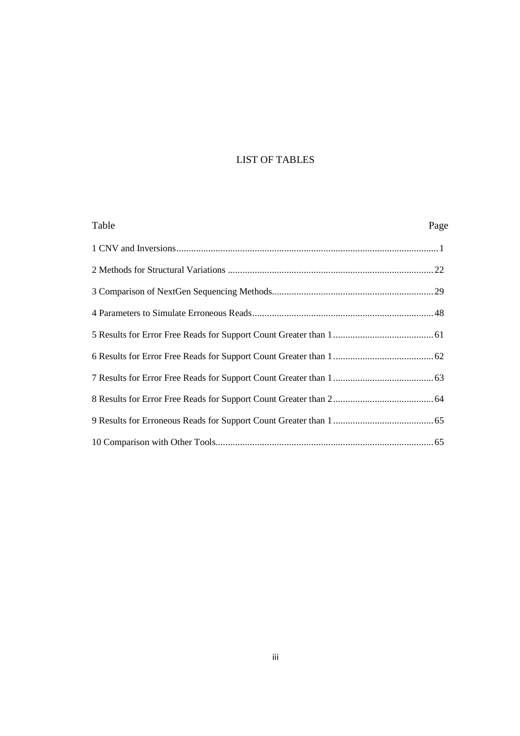## LIST OF TABLES

| Table | Page |
|-------|------|
|       |      |
|       |      |
|       |      |
|       |      |
|       |      |
|       |      |
|       |      |
|       |      |
|       |      |
|       |      |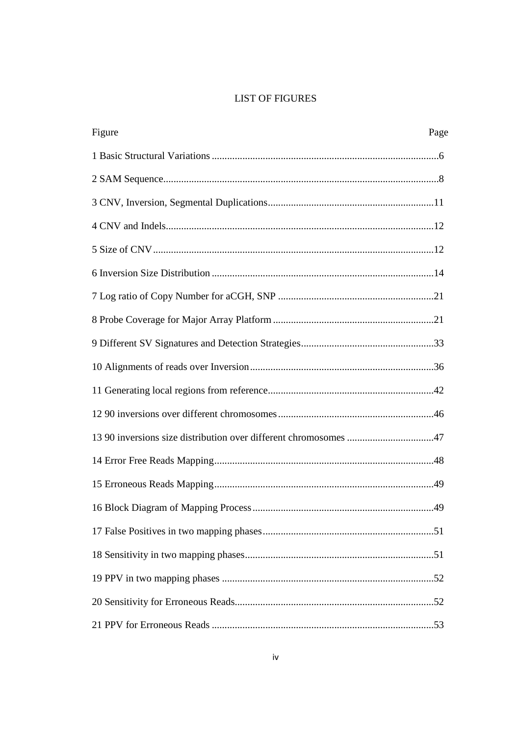## **LIST OF FIGURES**

| Figure<br>Page                                                   |  |
|------------------------------------------------------------------|--|
|                                                                  |  |
|                                                                  |  |
|                                                                  |  |
|                                                                  |  |
|                                                                  |  |
|                                                                  |  |
|                                                                  |  |
|                                                                  |  |
|                                                                  |  |
|                                                                  |  |
|                                                                  |  |
|                                                                  |  |
| 13 90 inversions size distribution over different chromosomes 47 |  |
|                                                                  |  |
|                                                                  |  |
|                                                                  |  |
|                                                                  |  |
|                                                                  |  |
|                                                                  |  |
|                                                                  |  |
|                                                                  |  |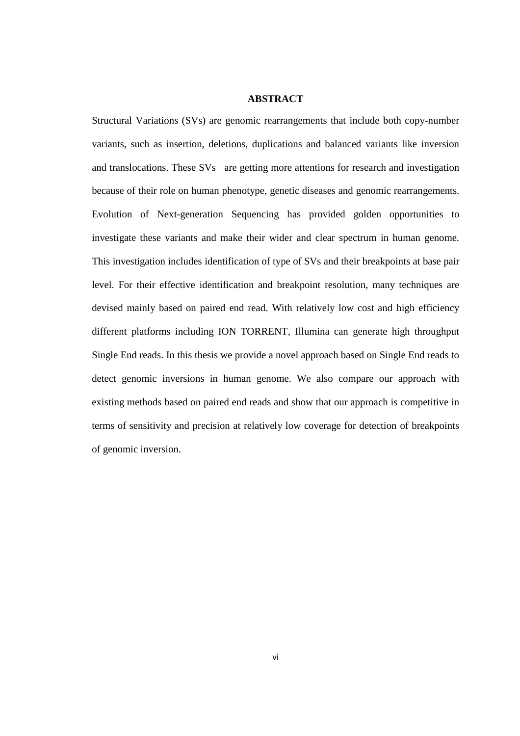## **ABSTRACT**

Structural Variations (SVs) are genomic rearrangements that include both copy-number variants, such as insertion, deletions, duplications and balanced variants like inversion and translocations. These SVs are getting more attentions for research and investigation because of their role on human phenotype, genetic diseases and genomic rearrangements. Evolution of Next-generation Sequencing has provided golden opportunities to investigate these variants and make their wider and clear spectrum in human genome. This investigation includes identification of type of SVs and their breakpoints at base pair level. For their effective identification and breakpoint resolution, many techniques are devised mainly based on paired end read. With relatively low cost and high efficiency different platforms including ION TORRENT, Illumina can generate high throughput Single End reads. In this thesis we provide a novel approach based on Single End reads to detect genomic inversions in human genome. We also compare our approach with existing methods based on paired end reads and show that our approach is competitive in terms of sensitivity and precision at relatively low coverage for detection of breakpoints of genomic inversion.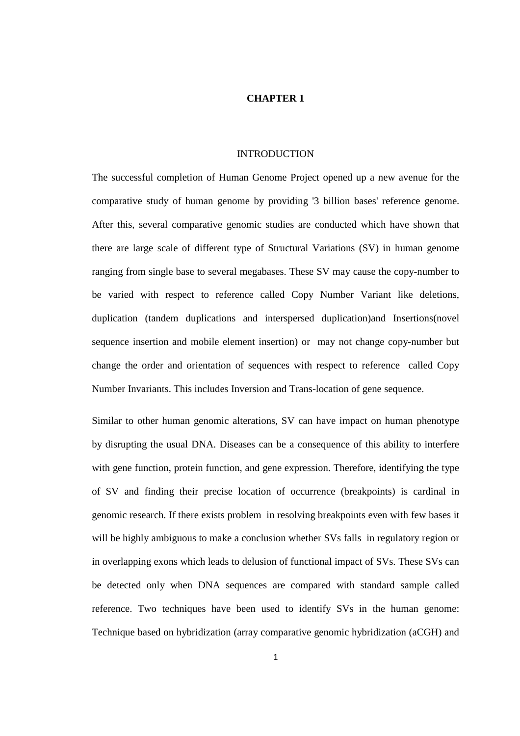## **CHAPTER 1**

#### INTRODUCTION

The successful completion of Human Genome Project opened up a new avenue for the comparative study of human genome by providing '3 billion bases' reference genome. After this, several comparative genomic studies are conducted which have shown that there are large scale of different type of Structural Variations (SV) in human genome ranging from single base to several megabases. These SV may cause the copy-number to be varied with respect to reference called Copy Number Variant like deletions, duplication (tandem duplications and interspersed duplication)and Insertions(novel sequence insertion and mobile element insertion) or may not change copy-number but change the order and orientation of sequences with respect to reference called Copy Number Invariants. This includes Inversion and Trans-location of gene sequence.

Similar to other human genomic alterations, SV can have impact on human phenotype by disrupting the usual DNA. Diseases can be a consequence of this ability to interfere with gene function, protein function, and gene expression. Therefore, identifying the type of SV and finding their precise location of occurrence (breakpoints) is cardinal in genomic research. If there exists problem in resolving breakpoints even with few bases it will be highly ambiguous to make a conclusion whether SVs falls in regulatory region or in overlapping exons which leads to delusion of functional impact of SVs. These SVs can be detected only when DNA sequences are compared with standard sample called reference. Two techniques have been used to identify SVs in the human genome: Technique based on hybridization (array comparative genomic hybridization (aCGH) and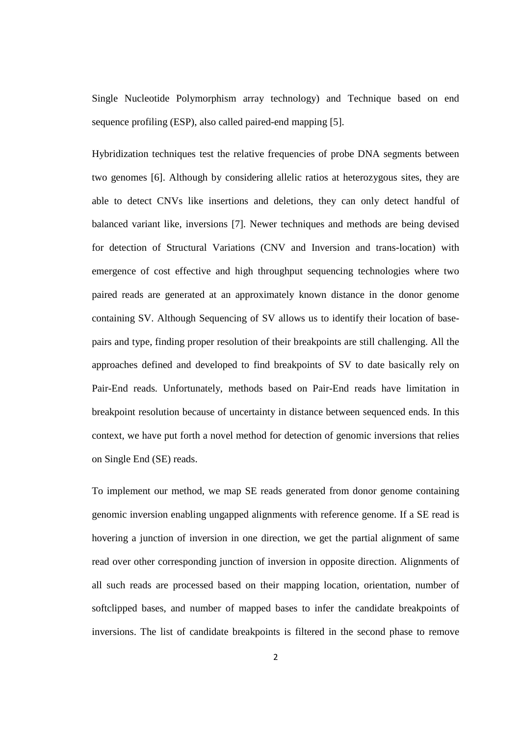Single Nucleotide Polymorphism array technology) and Technique based on end sequence profiling (ESP), also called paired-end mapping [5].

Hybridization techniques test the relative frequencies of probe DNA segments between two genomes [6]. Although by considering allelic ratios at heterozygous sites, they are able to detect CNVs like insertions and deletions, they can only detect handful of balanced variant like, inversions [7]. Newer techniques and methods are being devised for detection of Structural Variations (CNV and Inversion and trans-location) with emergence of cost effective and high throughput sequencing technologies where two paired reads are generated at an approximately known distance in the donor genome containing SV. Although Sequencing of SV allows us to identify their location of basepairs and type, finding proper resolution of their breakpoints are still challenging. All the approaches defined and developed to find breakpoints of SV to date basically rely on Pair-End reads. Unfortunately, methods based on Pair-End reads have limitation in breakpoint resolution because of uncertainty in distance between sequenced ends. In this context, we have put forth a novel method for detection of genomic inversions that relies on Single End (SE) reads.

To implement our method, we map SE reads generated from donor genome containing genomic inversion enabling ungapped alignments with reference genome. If a SE read is hovering a junction of inversion in one direction, we get the partial alignment of same read over other corresponding junction of inversion in opposite direction. Alignments of all such reads are processed based on their mapping location, orientation, number of softclipped bases, and number of mapped bases to infer the candidate breakpoints of inversions. The list of candidate breakpoints is filtered in the second phase to remove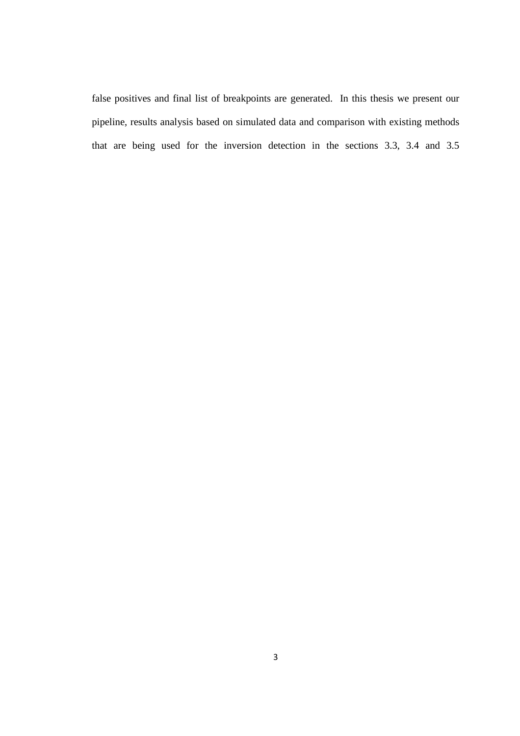false positives and final list of breakpoints are generated. In this thesis we present our pipeline, results analysis based on simulated data and comparison with existing methods that are being used for the inversion detection in the sections 3.3, 3.4 and 3.5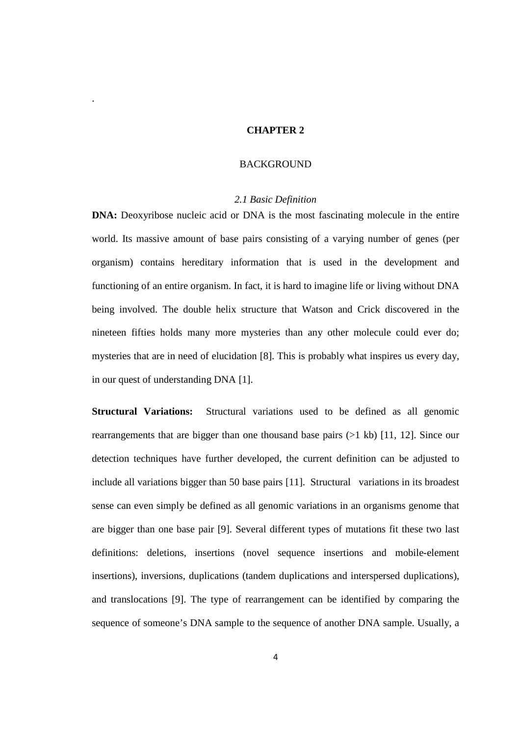## **CHAPTER 2**

.

## **BACKGROUND**

## *2.1 Basic Definition*

**DNA:** Deoxyribose nucleic acid or DNA is the most fascinating molecule in the entire world. Its massive amount of base pairs consisting of a varying number of genes (per organism) contains hereditary information that is used in the development and functioning of an entire organism. In fact, it is hard to imagine life or living without DNA being involved. The double helix structure that Watson and Crick discovered in the nineteen fifties holds many more mysteries than any other molecule could ever do; mysteries that are in need of elucidation [8]. This is probably what inspires us every day, in our quest of understanding DNA [1].

**Structural Variations:** Structural variations used to be defined as all genomic rearrangements that are bigger than one thousand base pairs (>1 kb) [11, 12]. Since our detection techniques have further developed, the current definition can be adjusted to include all variations bigger than 50 base pairs [11]. Structural variations in its broadest sense can even simply be defined as all genomic variations in an organisms genome that are bigger than one base pair [9]. Several different types of mutations fit these two last definitions: deletions, insertions (novel sequence insertions and mobile-element insertions), inversions, duplications (tandem duplications and interspersed duplications), and translocations [9]. The type of rearrangement can be identified by comparing the sequence of someone's DNA sample to the sequence of another DNA sample. Usually, a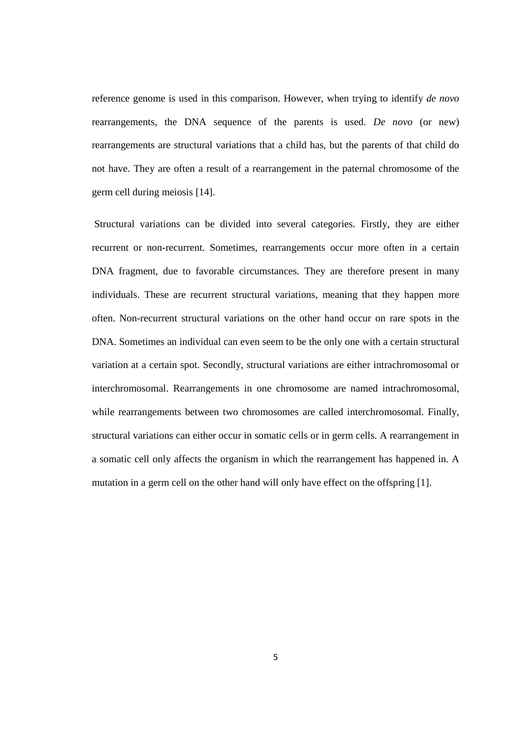reference genome is used in this comparison. However, when trying to identify *de novo* rearrangements, the DNA sequence of the parents is used. *De novo* (or new) rearrangements are structural variations that a child has, but the parents of that child do not have. They are often a result of a rearrangement in the paternal chromosome of the germ cell during meiosis [14].

 Structural variations can be divided into several categories. Firstly, they are either recurrent or non-recurrent. Sometimes, rearrangements occur more often in a certain DNA fragment, due to favorable circumstances. They are therefore present in many individuals. These are recurrent structural variations, meaning that they happen more often. Non-recurrent structural variations on the other hand occur on rare spots in the DNA. Sometimes an individual can even seem to be the only one with a certain structural variation at a certain spot. Secondly, structural variations are either intrachromosomal or interchromosomal. Rearrangements in one chromosome are named intrachromosomal, while rearrangements between two chromosomes are called interchromosomal. Finally, structural variations can either occur in somatic cells or in germ cells. A rearrangement in a somatic cell only affects the organism in which the rearrangement has happened in. A mutation in a germ cell on the other hand will only have effect on the offspring [1].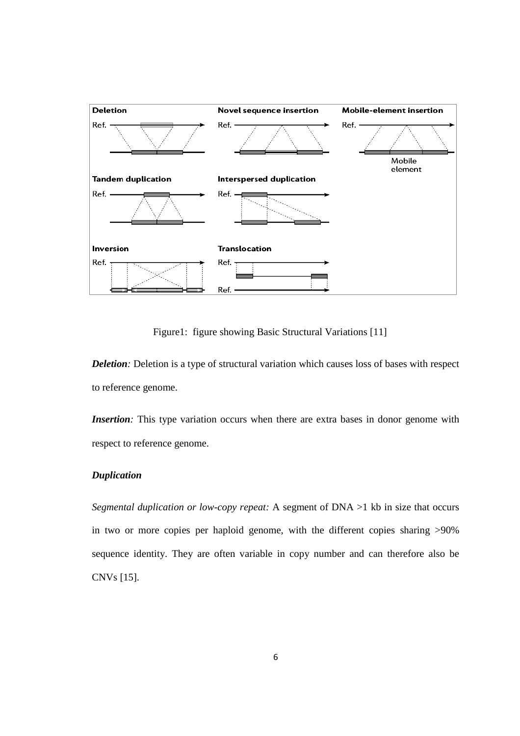

Figure1: figure showing Basic Structural Variations [11]

*Deletion:* Deletion is a type of structural variation which causes loss of bases with respect to reference genome.

*Insertion*: This type variation occurs when there are extra bases in donor genome with respect to reference genome.

## *Duplication*

*Segmental duplication or low-copy repeat:* A segment of DNA >1 kb in size that occurs in two or more copies per haploid genome, with the different copies sharing >90% sequence identity. They are often variable in copy number and can therefore also be CNVs [15].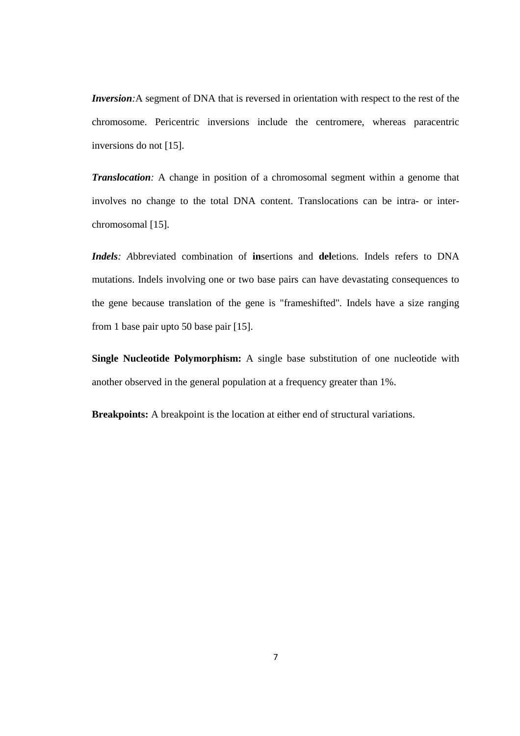*Inversion*: A segment of DNA that is reversed in orientation with respect to the rest of the chromosome. Pericentric inversions include the centromere, whereas paracentric inversions do not [15].

*Translocation:* A change in position of a chromosomal segment within a genome that involves no change to the total DNA content. Translocations can be intra- or interchromosomal [15].

*Indels: A*bbreviated combination of **in**sertions and **del**etions. Indels refers to DNA mutations. Indels involving one or two base pairs can have devastating consequences to the gene because translation of the gene is "frameshifted"*.* Indels have a size ranging from 1 base pair upto 50 base pair [15].

**Single Nucleotide Polymorphism:** A single base substitution of one nucleotide with another observed in the general population at a frequency greater than 1%.

**Breakpoints:** A breakpoint is the location at either end of structural variations.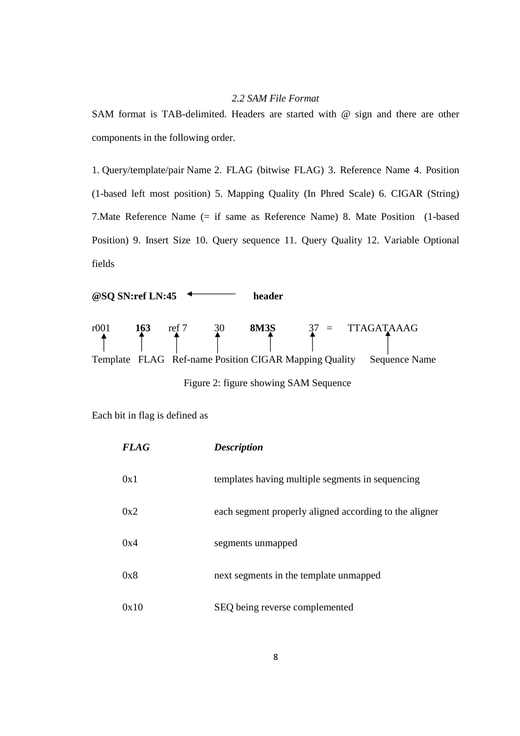## *2.2 SAM File Format*

SAM format is TAB-delimited. Headers are started with @ sign and there are other components in the following order.

1. Query/template/pair Name 2. FLAG (bitwise FLAG) 3. Reference Name 4. Position (1-based left most position) 5. Mapping Quality (In Phred Scale) 6. CIGAR (String) 7.Mate Reference Name (= if same as Reference Name) 8. Mate Position (1-based Position) 9. Insert Size 10. Query sequence 11. Query Quality 12. Variable Optional fields



Each bit in flag is defined as

| <b>FLAG</b> | <b>Description</b>                                     |
|-------------|--------------------------------------------------------|
| 0x1         | templates having multiple segments in sequencing       |
| 0x2         | each segment properly aligned according to the aligner |
| 0x4         | segments unmapped                                      |
| 0x8         | next segments in the template unmapped                 |
| 0x10        | SEQ being reverse complemented                         |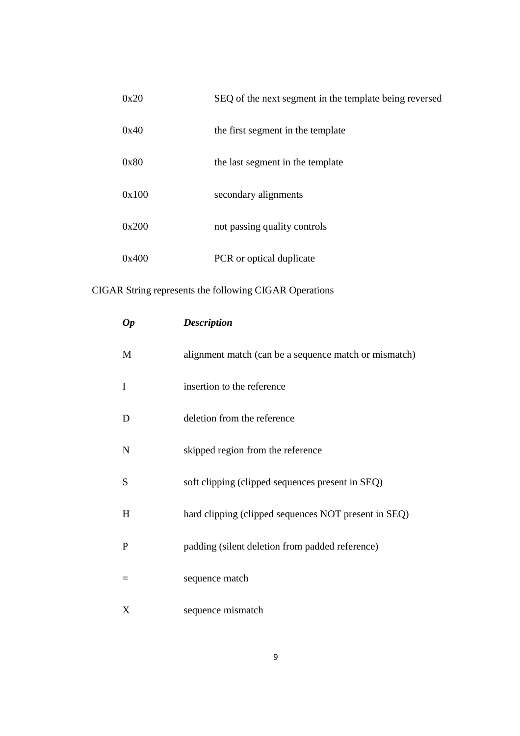| 0x20  | SEQ of the next segment in the template being reversed |
|-------|--------------------------------------------------------|
| 0x40  | the first segment in the template                      |
| 0x80  | the last segment in the template                       |
| 0x100 | secondary alignments                                   |
| 0x200 | not passing quality controls                           |
| 0x400 | PCR or optical duplicate                               |

# CIGAR String represents the following CIGAR Operations

| <b>Op</b>    | <b>Description</b>                                    |
|--------------|-------------------------------------------------------|
| M            | alignment match (can be a sequence match or mismatch) |
| $\mathbf I$  | insertion to the reference                            |
| D            | deletion from the reference                           |
| $\mathbf N$  | skipped region from the reference                     |
| S            | soft clipping (clipped sequences present in SEQ)      |
| H            | hard clipping (clipped sequences NOT present in SEQ)  |
| $\mathbf{P}$ | padding (silent deletion from padded reference)       |
| $=$          | sequence match                                        |
| X            | sequence mismatch                                     |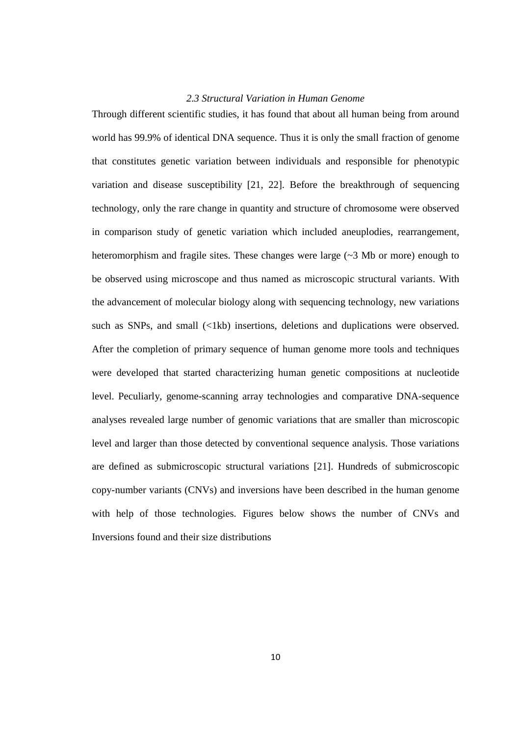## *2.3 Structural Variation in Human Genome*

Through different scientific studies, it has found that about all human being from around world has 99.9% of identical DNA sequence. Thus it is only the small fraction of genome that constitutes genetic variation between individuals and responsible for phenotypic variation and disease susceptibility [21, 22]. Before the breakthrough of sequencing technology, only the rare change in quantity and structure of chromosome were observed in comparison study of genetic variation which included aneuplodies, rearrangement, heteromorphism and fragile sites. These changes were large  $(\sim 3 \text{ Mb})$  or more) enough to be observed using microscope and thus named as microscopic structural variants. With the advancement of molecular biology along with sequencing technology, new variations such as SNPs, and small  $(\langle 1kb \rangle)$  insertions, deletions and duplications were observed. After the completion of primary sequence of human genome more tools and techniques were developed that started characterizing human genetic compositions at nucleotide level. Peculiarly, genome-scanning array technologies and comparative DNA-sequence analyses revealed large number of genomic variations that are smaller than microscopic level and larger than those detected by conventional sequence analysis. Those variations are defined as submicroscopic structural variations [21]. Hundreds of submicroscopic copy-number variants (CNVs) and inversions have been described in the human genome with help of those technologies. Figures below shows the number of CNVs and Inversions found and their size distributions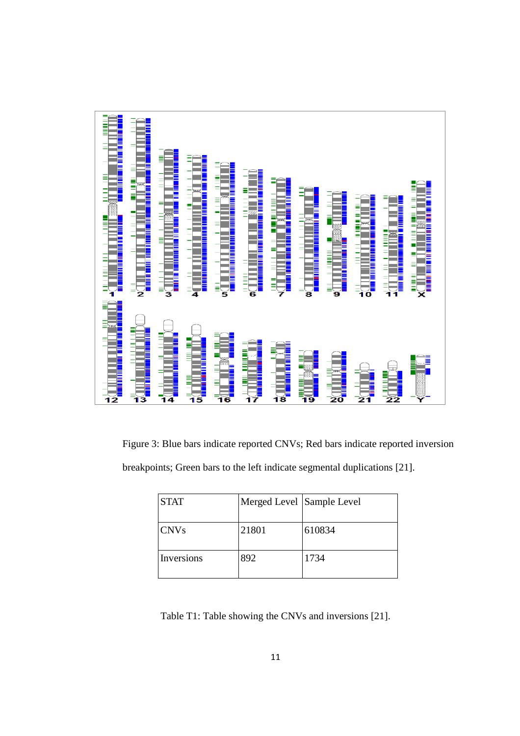

Figure 3: Blue bars indicate reported CNVs; Red bars indicate reported inversion breakpoints; Green bars to the left indicate segmental duplications [21].

| <b>STAT</b> | Merged Level Sample Level |        |
|-------------|---------------------------|--------|
| <b>CNVs</b> | 21801                     | 610834 |
| Inversions  | 892                       | 1734   |

Table T1: Table showing the CNVs and inversions [21].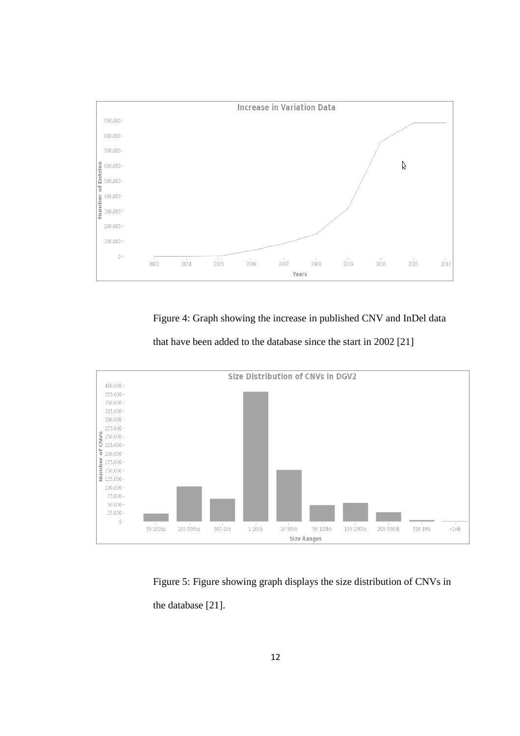

Figure 4: Graph showing the increase in published CNV and InDel data



that have been added to the database since the start in 2002 [21]

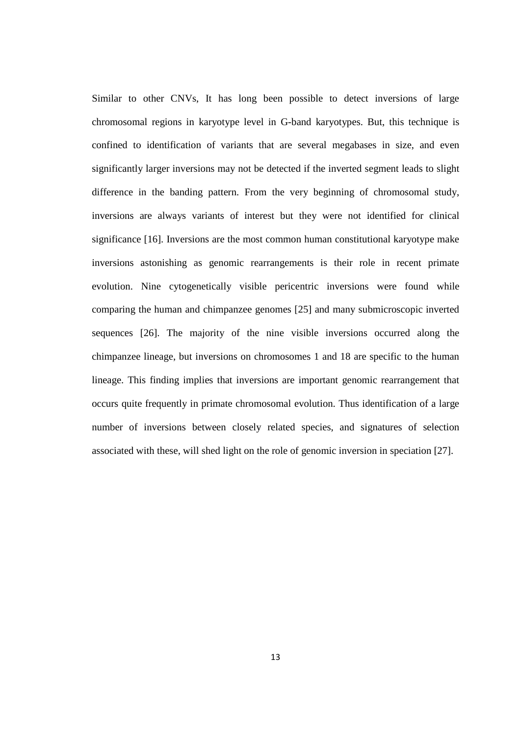Similar to other CNVs, It has long been possible to detect inversions of large chromosomal regions in karyotype level in G-band karyotypes. But, this technique is confined to identification of variants that are several megabases in size, and even significantly larger inversions may not be detected if the inverted segment leads to slight difference in the banding pattern. From the very beginning of chromosomal study, inversions are always variants of interest but they were not identified for clinical significance [16]. Inversions are the most common human constitutional karyotype make inversions astonishing as genomic rearrangements is their role in recent primate evolution. Nine cytogenetically visible pericentric inversions were found while comparing the human and chimpanzee genomes [25] and many submicroscopic inverted sequences [26]. The majority of the nine visible inversions occurred along the chimpanzee lineage, but inversions on chromosomes 1 and 18 are specific to the human lineage. This finding implies that inversions are important genomic rearrangement that occurs quite frequently in primate chromosomal evolution. Thus identification of a large number of inversions between closely related species, and signatures of selection associated with these, will shed light on the role of genomic inversion in speciation [27].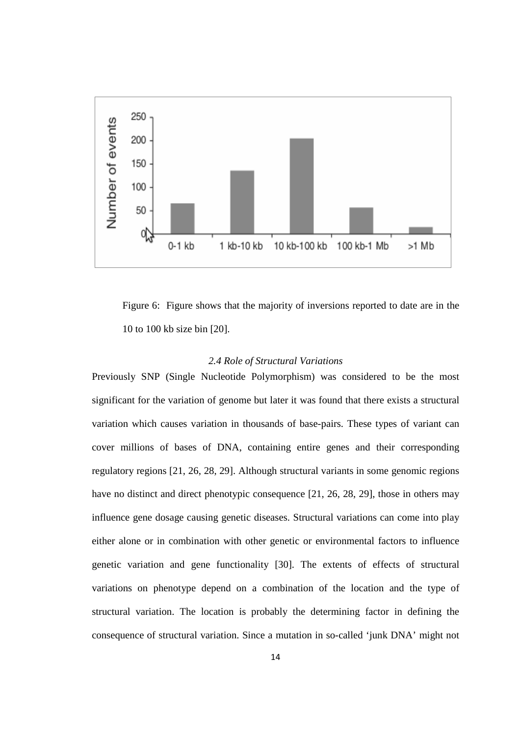

Figure 6: Figure shows that the majority of inversions reported to date are in the 10 to 100 kb size bin [20].

## *2.4 Role of Structural Variations*

Previously SNP (Single Nucleotide Polymorphism) was considered to be the most significant for the variation of genome but later it was found that there exists a structural variation which causes variation in thousands of base-pairs. These types of variant can cover millions of bases of DNA, containing entire genes and their corresponding regulatory regions [21, 26, 28, 29]. Although structural variants in some genomic regions have no distinct and direct phenotypic consequence [21, 26, 28, 29], those in others may influence gene dosage causing genetic diseases. Structural variations can come into play either alone or in combination with other genetic or environmental factors to influence genetic variation and gene functionality [30]. The extents of effects of structural variations on phenotype depend on a combination of the location and the type of structural variation. The location is probably the determining factor in defining the consequence of structural variation. Since a mutation in so-called 'junk DNA' might not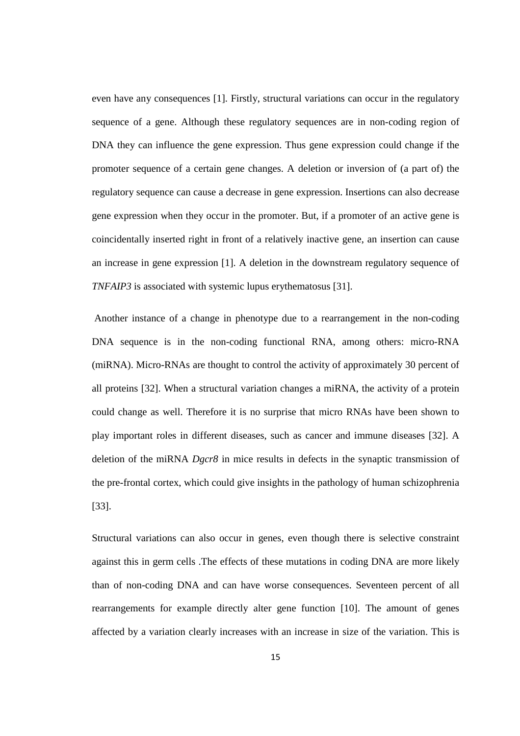even have any consequences [1]. Firstly, structural variations can occur in the regulatory sequence of a gene. Although these regulatory sequences are in non-coding region of DNA they can influence the gene expression. Thus gene expression could change if the promoter sequence of a certain gene changes. A deletion or inversion of (a part of) the regulatory sequence can cause a decrease in gene expression. Insertions can also decrease gene expression when they occur in the promoter. But, if a promoter of an active gene is coincidentally inserted right in front of a relatively inactive gene, an insertion can cause an increase in gene expression [1]. A deletion in the downstream regulatory sequence of *TNFAIP3* is associated with systemic lupus erythematosus [31].

 Another instance of a change in phenotype due to a rearrangement in the non-coding DNA sequence is in the non-coding functional RNA, among others: micro-RNA (miRNA). Micro-RNAs are thought to control the activity of approximately 30 percent of all proteins [32]. When a structural variation changes a miRNA, the activity of a protein could change as well. Therefore it is no surprise that micro RNAs have been shown to play important roles in different diseases, such as cancer and immune diseases [32]. A deletion of the miRNA *Dgcr8* in mice results in defects in the synaptic transmission of the pre-frontal cortex, which could give insights in the pathology of human schizophrenia [33].

Structural variations can also occur in genes, even though there is selective constraint against this in germ cells .The effects of these mutations in coding DNA are more likely than of non-coding DNA and can have worse consequences. Seventeen percent of all rearrangements for example directly alter gene function [10]. The amount of genes affected by a variation clearly increases with an increase in size of the variation. This is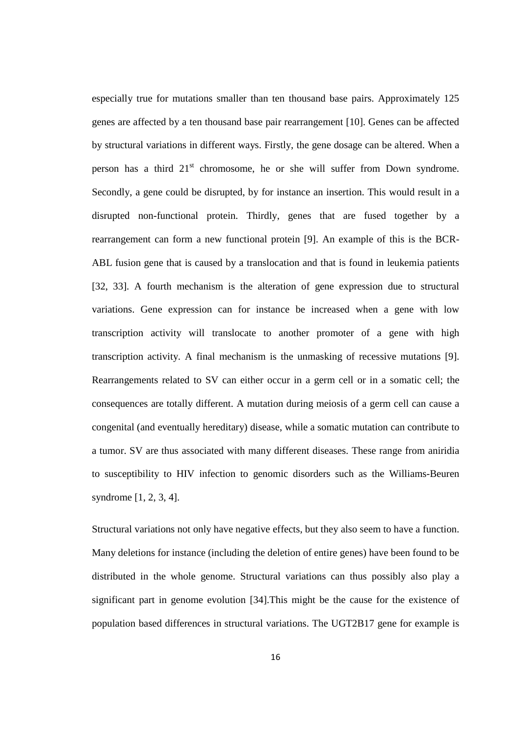especially true for mutations smaller than ten thousand base pairs. Approximately 125 genes are affected by a ten thousand base pair rearrangement [10]. Genes can be affected by structural variations in different ways. Firstly, the gene dosage can be altered. When a person has a third  $21<sup>st</sup>$  chromosome, he or she will suffer from Down syndrome. Secondly, a gene could be disrupted, by for instance an insertion. This would result in a disrupted non-functional protein. Thirdly, genes that are fused together by a rearrangement can form a new functional protein [9]. An example of this is the BCR-ABL fusion gene that is caused by a translocation and that is found in leukemia patients [32, 33]. A fourth mechanism is the alteration of gene expression due to structural variations. Gene expression can for instance be increased when a gene with low transcription activity will translocate to another promoter of a gene with high transcription activity. A final mechanism is the unmasking of recessive mutations [9]. Rearrangements related to SV can either occur in a germ cell or in a somatic cell; the consequences are totally different. A mutation during meiosis of a germ cell can cause a congenital (and eventually hereditary) disease, while a somatic mutation can contribute to a tumor. SV are thus associated with many different diseases. These range from aniridia to susceptibility to HIV infection to genomic disorders such as the Williams-Beuren syndrome [1, 2, 3, 4].

Structural variations not only have negative effects, but they also seem to have a function. Many deletions for instance (including the deletion of entire genes) have been found to be distributed in the whole genome. Structural variations can thus possibly also play a significant part in genome evolution [34].This might be the cause for the existence of population based differences in structural variations. The UGT2B17 gene for example is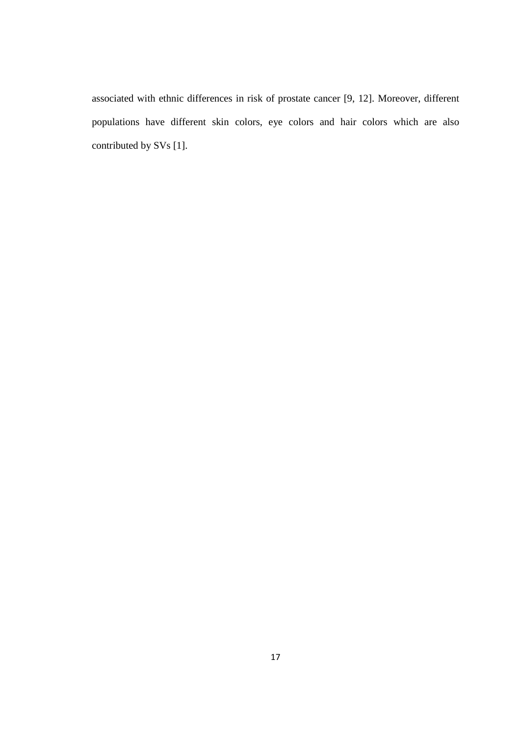associated with ethnic differences in risk of prostate cancer [9, 12]. Moreover, different populations have different skin colors, eye colors and hair colors which are also contributed by SVs [1].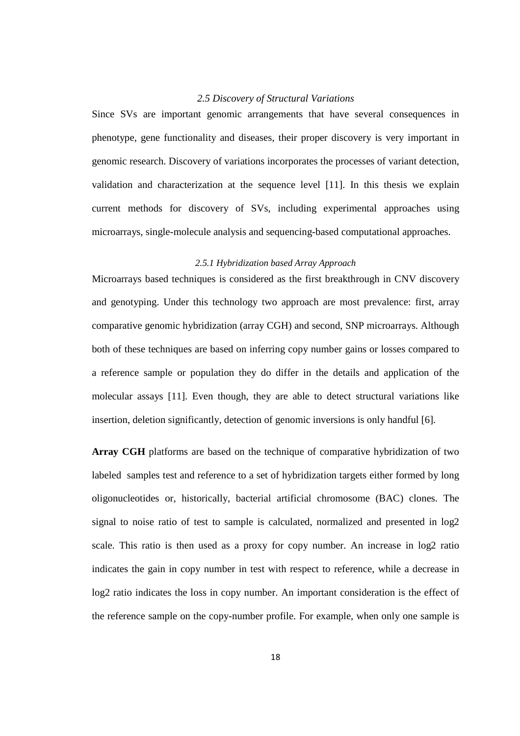## *2.5 Discovery of Structural Variations*

Since SVs are important genomic arrangements that have several consequences in phenotype, gene functionality and diseases, their proper discovery is very important in genomic research. Discovery of variations incorporates the processes of variant detection, validation and characterization at the sequence level [11]. In this thesis we explain current methods for discovery of SVs, including experimental approaches using microarrays, single-molecule analysis and sequencing-based computational approaches.

## *2.5.1 Hybridization based Array Approach*

Microarrays based techniques is considered as the first breakthrough in CNV discovery and genotyping. Under this technology two approach are most prevalence: first, array comparative genomic hybridization (array CGH) and second, SNP microarrays. Although both of these techniques are based on inferring copy number gains or losses compared to a reference sample or population they do differ in the details and application of the molecular assays [11]. Even though, they are able to detect structural variations like insertion, deletion significantly, detection of genomic inversions is only handful [6].

**Array CGH** platforms are based on the technique of comparative hybridization of two labeled samples test and reference to a set of hybridization targets either formed by long oligonucleotides or, historically, bacterial artificial chromosome (BAC) clones. The signal to noise ratio of test to sample is calculated, normalized and presented in log2 scale. This ratio is then used as a proxy for copy number. An increase in log2 ratio indicates the gain in copy number in test with respect to reference, while a decrease in log2 ratio indicates the loss in copy number. An important consideration is the effect of the reference sample on the copy-number profile. For example, when only one sample is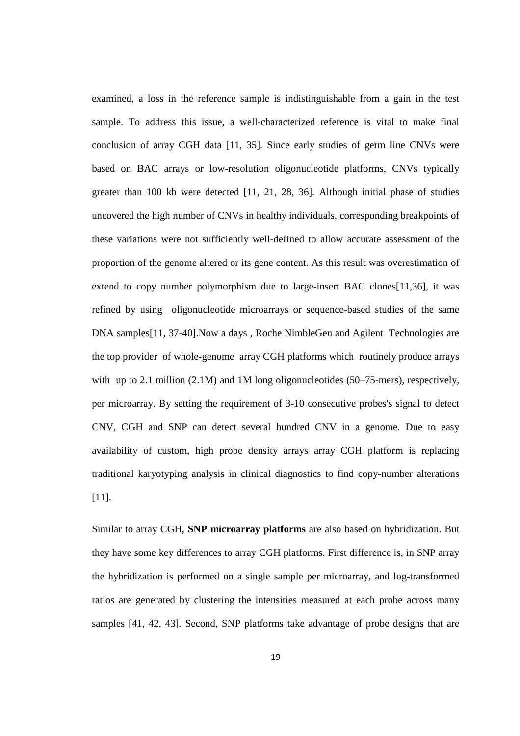examined, a loss in the reference sample is indistinguishable from a gain in the test sample. To address this issue, a well-characterized reference is vital to make final conclusion of array CGH data [11, 35]. Since early studies of germ line CNVs were based on BAC arrays or low-resolution oligonucleotide platforms, CNVs typically greater than 100 kb were detected [11, 21, 28, 36]. Although initial phase of studies uncovered the high number of CNVs in healthy individuals, corresponding breakpoints of these variations were not sufficiently well-defined to allow accurate assessment of the proportion of the genome altered or its gene content. As this result was overestimation of extend to copy number polymorphism due to large-insert BAC clones[11,36], it was refined by using oligonucleotide microarrays or sequence-based studies of the same DNA samples[11, 37-40].Now a days , Roche NimbleGen and Agilent Technologies are the top provider of whole-genome array CGH platforms which routinely produce arrays with up to 2.1 million  $(2.1M)$  and 1M long oligonucleotides (50–75-mers), respectively, per microarray. By setting the requirement of 3-10 consecutive probes's signal to detect CNV, CGH and SNP can detect several hundred CNV in a genome. Due to easy availability of custom, high probe density arrays array CGH platform is replacing traditional karyotyping analysis in clinical diagnostics to find copy-number alterations [11].

Similar to array CGH, **SNP microarray platforms** are also based on hybridization. But they have some key differences to array CGH platforms. First difference is, in SNP array the hybridization is performed on a single sample per microarray, and log-transformed ratios are generated by clustering the intensities measured at each probe across many samples [41, 42, 43]. Second, SNP platforms take advantage of probe designs that are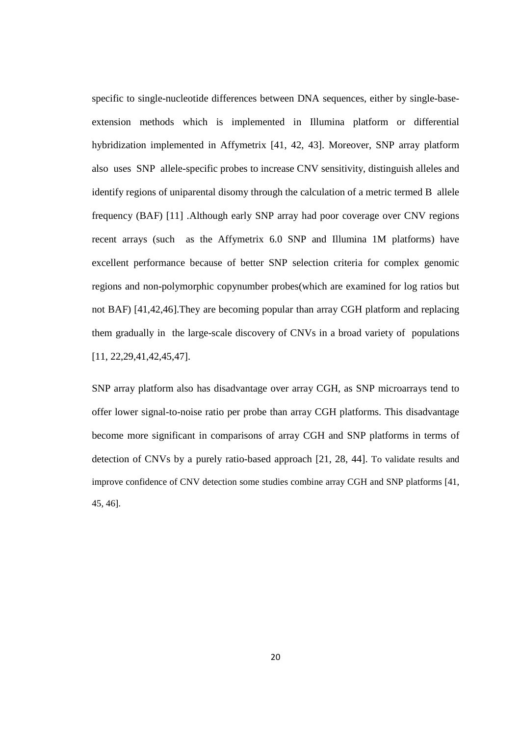specific to single-nucleotide differences between DNA sequences, either by single-baseextension methods which is implemented in Illumina platform or differential hybridization implemented in Affymetrix [41, 42, 43]. Moreover, SNP array platform also uses SNP allele-specific probes to increase CNV sensitivity, distinguish alleles and identify regions of uniparental disomy through the calculation of a metric termed B allele frequency (BAF) [11] .Although early SNP array had poor coverage over CNV regions recent arrays (such as the Affymetrix 6.0 SNP and Illumina 1M platforms) have excellent performance because of better SNP selection criteria for complex genomic regions and non-polymorphic copynumber probes(which are examined for log ratios but not BAF) [41,42,46].They are becoming popular than array CGH platform and replacing them gradually in the large-scale discovery of CNVs in a broad variety of populations [11, 22,29,41,42,45,47].

SNP array platform also has disadvantage over array CGH, as SNP microarrays tend to offer lower signal-to-noise ratio per probe than array CGH platforms. This disadvantage become more significant in comparisons of array CGH and SNP platforms in terms of detection of CNVs by a purely ratio-based approach [21, 28, 44]. To validate results and improve confidence of CNV detection some studies combine array CGH and SNP platforms [41, 45, 46].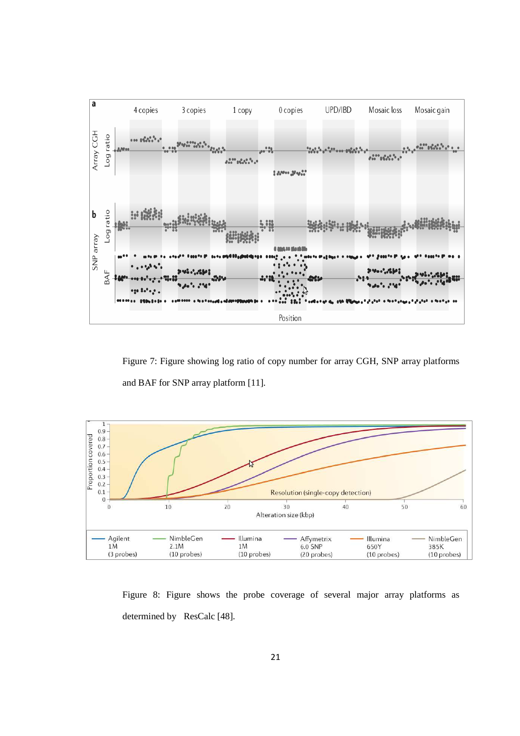

Figure 7: Figure showing log ratio of copy number for array CGH, SNP array platforms and BAF for SNP array platform [11].



Figure 8: Figure shows the probe coverage of several major array platforms as determined by ResCalc [48].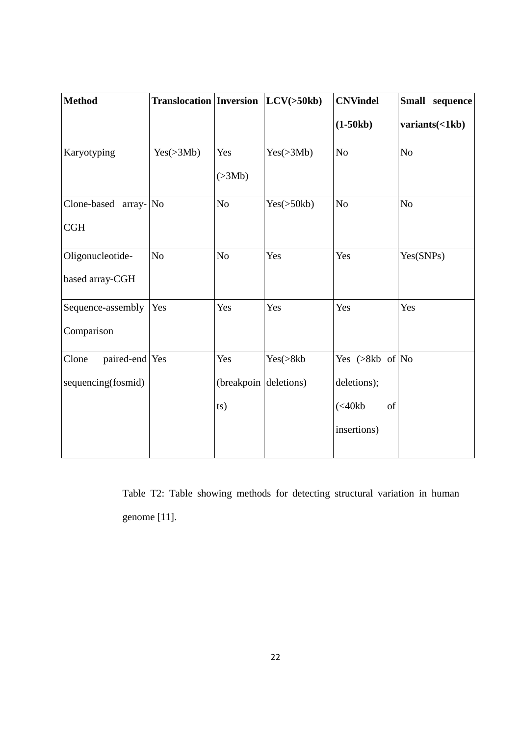| variants(<1kb) |
|----------------|
|                |
|                |
|                |
|                |
| Yes(SNPs)      |
|                |
|                |
|                |
|                |
|                |
|                |
|                |
|                |

Table T2: Table showing methods for detecting structural variation in human genome [11].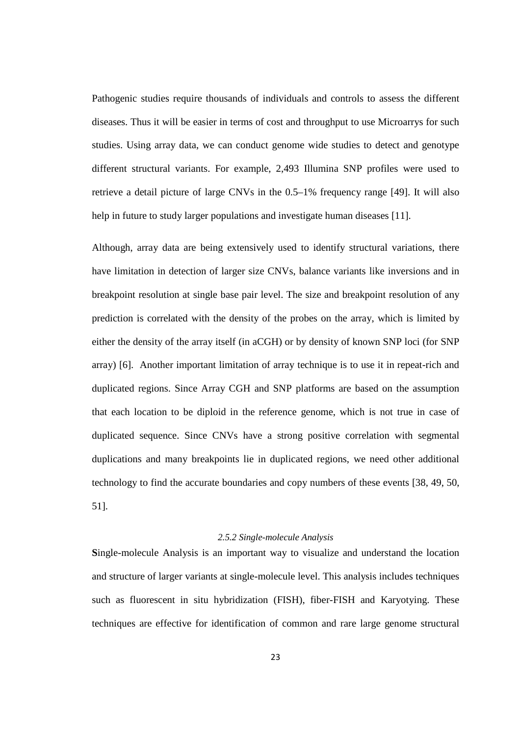Pathogenic studies require thousands of individuals and controls to assess the different diseases. Thus it will be easier in terms of cost and throughput to use Microarrys for such studies. Using array data, we can conduct genome wide studies to detect and genotype different structural variants. For example, 2,493 Illumina SNP profiles were used to retrieve a detail picture of large CNVs in the 0.5–1% frequency range [49]. It will also help in future to study larger populations and investigate human diseases [11].

Although, array data are being extensively used to identify structural variations, there have limitation in detection of larger size CNVs, balance variants like inversions and in breakpoint resolution at single base pair level. The size and breakpoint resolution of any prediction is correlated with the density of the probes on the array, which is limited by either the density of the array itself (in aCGH) or by density of known SNP loci (for SNP array) [6]. Another important limitation of array technique is to use it in repeat-rich and duplicated regions. Since Array CGH and SNP platforms are based on the assumption that each location to be diploid in the reference genome, which is not true in case of duplicated sequence. Since CNVs have a strong positive correlation with segmental duplications and many breakpoints lie in duplicated regions, we need other additional technology to find the accurate boundaries and copy numbers of these events [38, 49, 50, 51].

## *2.5.2 Single-molecule Analysis*

**S**ingle-molecule Analysis is an important way to visualize and understand the location and structure of larger variants at single-molecule level. This analysis includes techniques such as fluorescent in situ hybridization (FISH), fiber-FISH and Karyotying. These techniques are effective for identification of common and rare large genome structural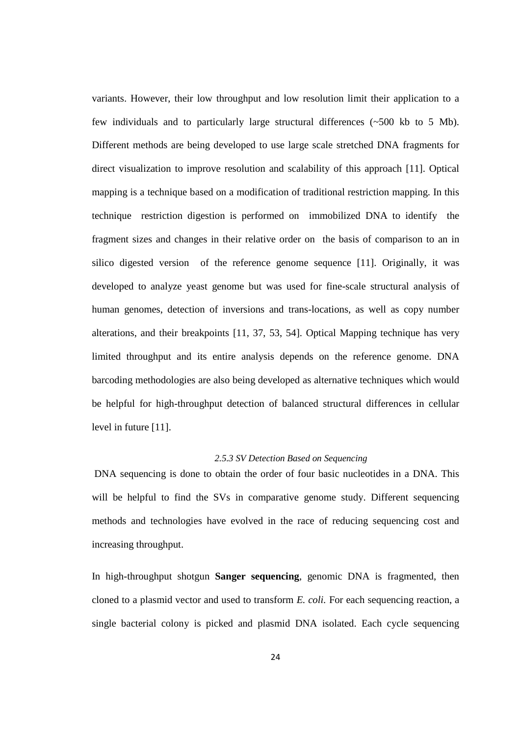variants. However, their low throughput and low resolution limit their application to a few individuals and to particularly large structural differences  $(\sim 500 \text{ kb}$  to 5 Mb). Different methods are being developed to use large scale stretched DNA fragments for direct visualization to improve resolution and scalability of this approach [11]. Optical mapping is a technique based on a modification of traditional restriction mapping. In this technique restriction digestion is performed on immobilized DNA to identify the fragment sizes and changes in their relative order on the basis of comparison to an in silico digested version of the reference genome sequence [11]. Originally, it was developed to analyze yeast genome but was used for fine-scale structural analysis of human genomes, detection of inversions and trans-locations, as well as copy number alterations, and their breakpoints [11, 37, 53, 54]. Optical Mapping technique has very limited throughput and its entire analysis depends on the reference genome. DNA barcoding methodologies are also being developed as alternative techniques which would be helpful for high-throughput detection of balanced structural differences in cellular level in future [11].

### *2.5.3 SV Detection Based on Sequencing*

 DNA sequencing is done to obtain the order of four basic nucleotides in a DNA. This will be helpful to find the SVs in comparative genome study. Different sequencing methods and technologies have evolved in the race of reducing sequencing cost and increasing throughput.

In high-throughput shotgun **Sanger sequencing**, genomic DNA is fragmented, then cloned to a plasmid vector and used to transform *E. coli.* For each sequencing reaction, a single bacterial colony is picked and plasmid DNA isolated. Each cycle sequencing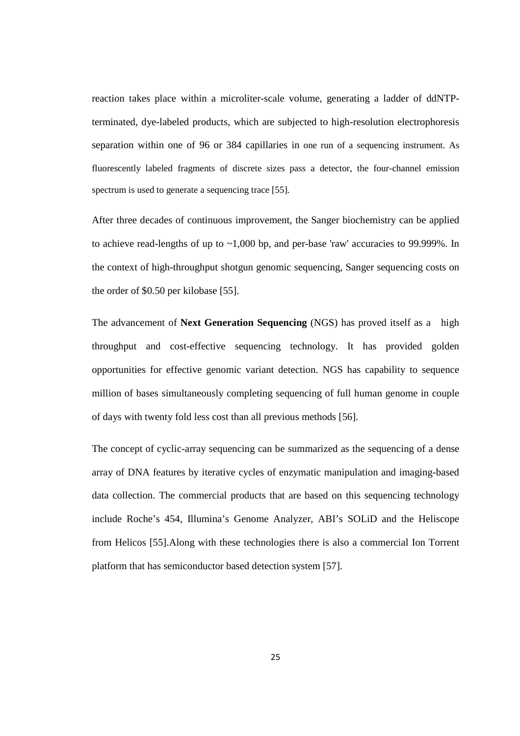reaction takes place within a microliter-scale volume, generating a ladder of ddNTPterminated, dye-labeled products, which are subjected to high-resolution electrophoresis separation within one of 96 or 384 capillaries in one run of a sequencing instrument. As fluorescently labeled fragments of discrete sizes pass a detector, the four-channel emission spectrum is used to generate a sequencing trace [55].

After three decades of continuous improvement, the Sanger biochemistry can be applied to achieve read-lengths of up to  $\sim$ 1,000 bp, and per-base 'raw' accuracies to 99.999%. In the context of high-throughput shotgun genomic sequencing, Sanger sequencing costs on the order of \$0.50 per kilobase [55].

The advancement of **Next Generation Sequencing** (NGS) has proved itself as a high throughput and cost-effective sequencing technology. It has provided golden opportunities for effective genomic variant detection. NGS has capability to sequence million of bases simultaneously completing sequencing of full human genome in couple of days with twenty fold less cost than all previous methods [56].

The concept of cyclic-array sequencing can be summarized as the sequencing of a dense array of DNA features by iterative cycles of enzymatic manipulation and imaging-based data collection. The commercial products that are based on this sequencing technology include Roche's 454, Illumina's Genome Analyzer, ABI's SOLiD and the Heliscope from Helicos [55].Along with these technologies there is also a commercial Ion Torrent platform that has semiconductor based detection system [57].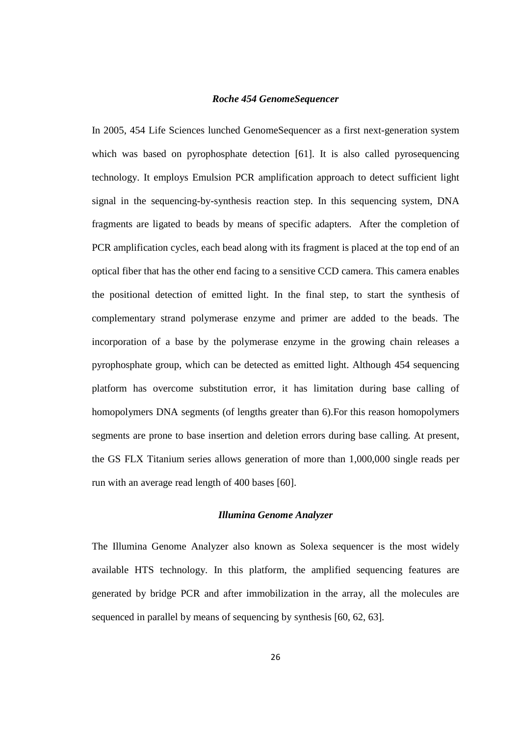## *Roche 454 GenomeSequencer*

In 2005, 454 Life Sciences lunched GenomeSequencer as a first next-generation system which was based on pyrophosphate detection [61]. It is also called pyrosequencing technology. It employs Emulsion PCR amplification approach to detect sufficient light signal in the sequencing-by-synthesis reaction step. In this sequencing system, DNA fragments are ligated to beads by means of specific adapters. After the completion of PCR amplification cycles, each bead along with its fragment is placed at the top end of an optical fiber that has the other end facing to a sensitive CCD camera. This camera enables the positional detection of emitted light. In the final step, to start the synthesis of complementary strand polymerase enzyme and primer are added to the beads. The incorporation of a base by the polymerase enzyme in the growing chain releases a pyrophosphate group, which can be detected as emitted light. Although 454 sequencing platform has overcome substitution error, it has limitation during base calling of homopolymers DNA segments (of lengths greater than 6).For this reason homopolymers segments are prone to base insertion and deletion errors during base calling. At present, the GS FLX Titanium series allows generation of more than 1,000,000 single reads per run with an average read length of 400 bases [60].

## *Illumina Genome Analyzer*

The Illumina Genome Analyzer also known as Solexa sequencer is the most widely available HTS technology. In this platform, the amplified sequencing features are generated by bridge PCR and after immobilization in the array, all the molecules are sequenced in parallel by means of sequencing by synthesis [60, 62, 63].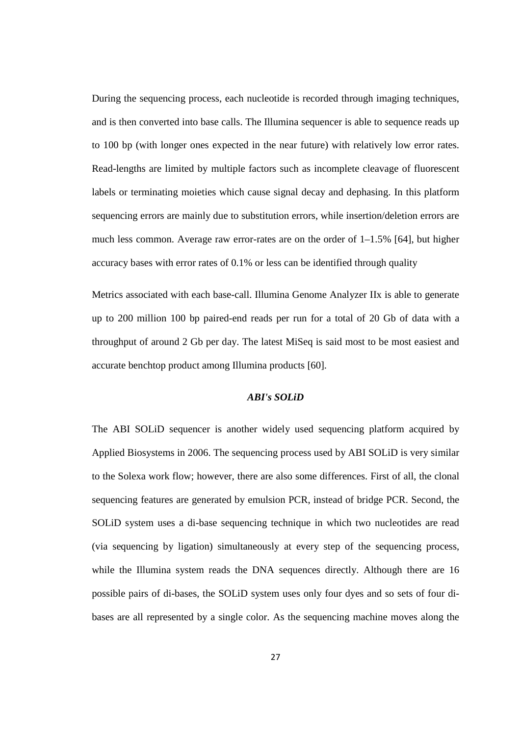During the sequencing process, each nucleotide is recorded through imaging techniques, and is then converted into base calls. The Illumina sequencer is able to sequence reads up to 100 bp (with longer ones expected in the near future) with relatively low error rates. Read-lengths are limited by multiple factors such as incomplete cleavage of fluorescent labels or terminating moieties which cause signal decay and dephasing. In this platform sequencing errors are mainly due to substitution errors, while insertion/deletion errors are much less common. Average raw error-rates are on the order of 1–1.5% [64], but higher accuracy bases with error rates of 0.1% or less can be identified through quality

Metrics associated with each base-call. Illumina Genome Analyzer IIx is able to generate up to 200 million 100 bp paired-end reads per run for a total of 20 Gb of data with a throughput of around 2 Gb per day. The latest MiSeq is said most to be most easiest and accurate benchtop product among Illumina products [60].

## *ABI's SOLiD*

The ABI SOLiD sequencer is another widely used sequencing platform acquired by Applied Biosystems in 2006. The sequencing process used by ABI SOLiD is very similar to the Solexa work flow; however, there are also some differences. First of all, the clonal sequencing features are generated by emulsion PCR, instead of bridge PCR. Second, the SOLiD system uses a di-base sequencing technique in which two nucleotides are read (via sequencing by ligation) simultaneously at every step of the sequencing process, while the Illumina system reads the DNA sequences directly. Although there are 16 possible pairs of di-bases, the SOLiD system uses only four dyes and so sets of four dibases are all represented by a single color. As the sequencing machine moves along the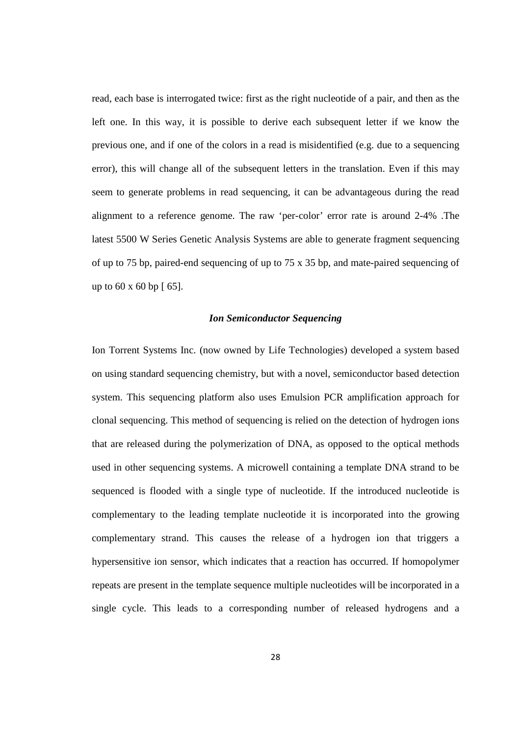read, each base is interrogated twice: first as the right nucleotide of a pair, and then as the left one. In this way, it is possible to derive each subsequent letter if we know the previous one, and if one of the colors in a read is misidentified (e.g. due to a sequencing error), this will change all of the subsequent letters in the translation. Even if this may seem to generate problems in read sequencing, it can be advantageous during the read alignment to a reference genome. The raw 'per-color' error rate is around 2-4% .The latest 5500 W Series Genetic Analysis Systems are able to generate fragment sequencing of up to 75 bp, paired-end sequencing of up to 75 x 35 bp, and mate-paired sequencing of up to  $60 \times 60$  bp  $\lceil 65 \rceil$ .

#### *Ion Semiconductor Sequencing*

Ion Torrent Systems Inc. (now owned by Life Technologies) developed a system based on using standard sequencing chemistry, but with a novel, semiconductor based detection system. This sequencing platform also uses Emulsion PCR amplification approach for clonal sequencing. This method of sequencing is relied on the detection of hydrogen ions that are released during the polymerization of DNA, as opposed to the optical methods used in other sequencing systems. A microwell containing a template DNA strand to be sequenced is flooded with a single type of nucleotide. If the introduced nucleotide is complementary to the leading template nucleotide it is incorporated into the growing complementary strand. This causes the release of a hydrogen ion that triggers a hypersensitive ion sensor, which indicates that a reaction has occurred. If homopolymer repeats are present in the template sequence multiple nucleotides will be incorporated in a single cycle. This leads to a corresponding number of released hydrogens and a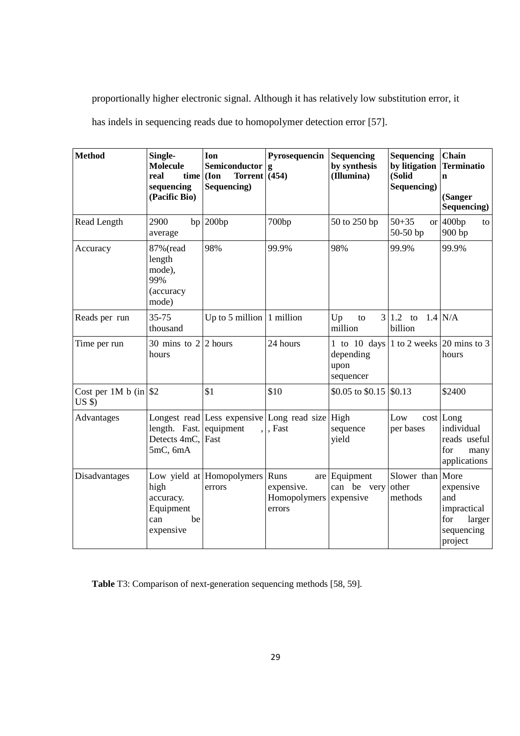proportionally higher electronic signal. Although it has relatively low substitution error, it has indels in sequencing reads due to homopolymer detection error [57].

| <b>Method</b>                             | Single-<br><b>Molecule</b><br>real<br>time<br>sequencing<br>(Pacific Bio) | Ion<br>Semiconductor<br>Torrent $(454)$<br>(Ion)<br>Sequencing)      | Pyrosequencin<br>g                           | Sequencing<br>by synthesis<br>(Illumina)       | <b>Sequencing</b><br>by litigation<br>(Solid<br>Sequencing) | Chain<br><b>Terminatio</b><br>$\mathbf n$<br>(Sanger<br>Sequencing)       |
|-------------------------------------------|---------------------------------------------------------------------------|----------------------------------------------------------------------|----------------------------------------------|------------------------------------------------|-------------------------------------------------------------|---------------------------------------------------------------------------|
| Read Length                               | 2900<br>average                                                           | $bp$   200 $bp$                                                      | 700bp                                        | 50 to 250 bp                                   | $50 + 35$<br>or  <br>50-50 bp                               | 400bp<br>to<br>900 bp                                                     |
| Accuracy                                  | 87% (read<br>length<br>mode),<br>99%<br>(accuracy<br>mode)                | 98%                                                                  | 99.9%                                        | 98%                                            | 99.9%                                                       | 99.9%                                                                     |
| Reads per run                             | 35-75<br>thousand                                                         | Up to 5 million                                                      | 1 million                                    | Up<br>to<br>million                            | $3 1.2$ to<br>billion                                       | $1.4$ N/A                                                                 |
| Time per run                              | 30 mins to $2 \mid 2$ hours<br>hours                                      |                                                                      | 24 hours                                     | 1 to 10 days<br>depending<br>upon<br>sequencer |                                                             | 1 to 2 weeks $ 20 \text{ mins}$ to 3<br>hours                             |
| Cost per 1M b (in $\vert$ \$2<br>$US$ \$) |                                                                           | \$1                                                                  | \$10                                         | \$0.05 to \$0.15                               | \$0.13                                                      | \$2400                                                                    |
| Advantages                                | length. Fast.<br>Detects 4mC,<br>5mC, 6mA                                 | Longest read Less expensive Long read size High<br>equipment<br>Fast | , Fast                                       | sequence<br>yield                              | Low<br>per bases                                            | $cost$ Long<br>individual<br>reads useful<br>for<br>many<br>applications  |
| Disadvantages                             | high<br>accuracy.<br>Equipment<br>be<br>can<br>expensive                  | Low yield at Homopolymers<br>errors                                  | Runs<br>expensive.<br>Homopolymers<br>errors | are Equipment<br>can be very<br>expensive      | Slower than More<br>other<br>methods                        | expensive<br>and<br>impractical<br>for<br>larger<br>sequencing<br>project |

**Table** T3: Comparison of next-generation sequencing methods [58, 59].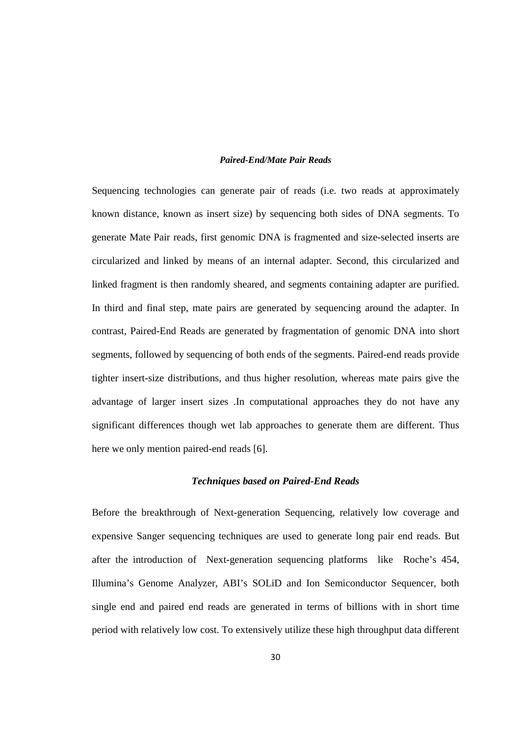### *Paired-End/Mate Pair Reads*

Sequencing technologies can generate pair of reads (i.e. two reads at approximately known distance, known as insert size) by sequencing both sides of DNA segments. To generate Mate Pair reads, first genomic DNA is fragmented and size-selected inserts are circularized and linked by means of an internal adapter. Second, this circularized and linked fragment is then randomly sheared, and segments containing adapter are purified. In third and final step, mate pairs are generated by sequencing around the adapter. In contrast, Paired-End Reads are generated by fragmentation of genomic DNA into short segments, followed by sequencing of both ends of the segments. Paired-end reads provide tighter insert-size distributions, and thus higher resolution, whereas mate pairs give the advantage of larger insert sizes .In computational approaches they do not have any significant differences though wet lab approaches to generate them are different. Thus here we only mention paired-end reads [6].

#### *Techniques based on Paired-End Reads*

Before the breakthrough of Next-generation Sequencing, relatively low coverage and expensive Sanger sequencing techniques are used to generate long pair end reads. But after the introduction of Next-generation sequencing platforms like Roche's 454, Illumina's Genome Analyzer, ABI's SOLiD and Ion Semiconductor Sequencer, both single end and paired end reads are generated in terms of billions with in short time period with relatively low cost. To extensively utilize these high throughput data different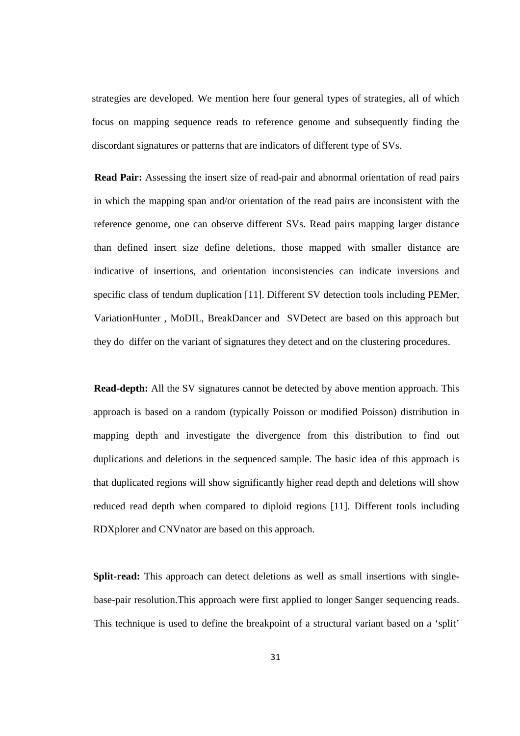strategies are developed. We mention here four general types of strategies, all of which focus on mapping sequence reads to reference genome and subsequently finding the discordant signatures or patterns that are indicators of different type of SVs.

**Read Pair:** Assessing the insert size of read-pair and abnormal orientation of read pairs in which the mapping span and/or orientation of the read pairs are inconsistent with the reference genome, one can observe different SVs. Read pairs mapping larger distance than defined insert size define deletions, those mapped with smaller distance are indicative of insertions, and orientation inconsistencies can indicate inversions and specific class of tendum duplication [11]. Different SV detection tools including PEMer, VariationHunter , MoDIL, BreakDancer and SVDetect are based on this approach but they do differ on the variant of signatures they detect and on the clustering procedures.

**Read-depth:** All the SV signatures cannot be detected by above mention approach. This approach is based on a random (typically Poisson or modified Poisson) distribution in mapping depth and investigate the divergence from this distribution to find out duplications and deletions in the sequenced sample. The basic idea of this approach is that duplicated regions will show significantly higher read depth and deletions will show reduced read depth when compared to diploid regions [11]. Different tools including RDXplorer and CNVnator are based on this approach.

**Split-read:** This approach can detect deletions as well as small insertions with singlebase-pair resolution.This approach were first applied to longer Sanger sequencing reads. This technique is used to define the breakpoint of a structural variant based on a 'split'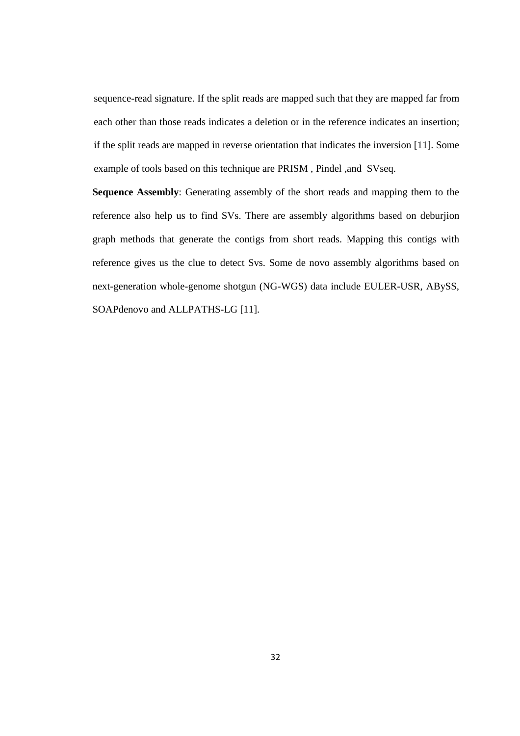sequence-read signature. If the split reads are mapped such that they are mapped far from each other than those reads indicates a deletion or in the reference indicates an insertion; if the split reads are mapped in reverse orientation that indicates the inversion [11]. Some example of tools based on this technique are PRISM , Pindel ,and SVseq.

**Sequence Assembly**: Generating assembly of the short reads and mapping them to the reference also help us to find SVs. There are assembly algorithms based on deburjion graph methods that generate the contigs from short reads. Mapping this contigs with reference gives us the clue to detect Svs. Some de novo assembly algorithms based on next-generation whole-genome shotgun (NG-WGS) data include EULER-USR, ABySS, SOAPdenovo and ALLPATHS-LG [11].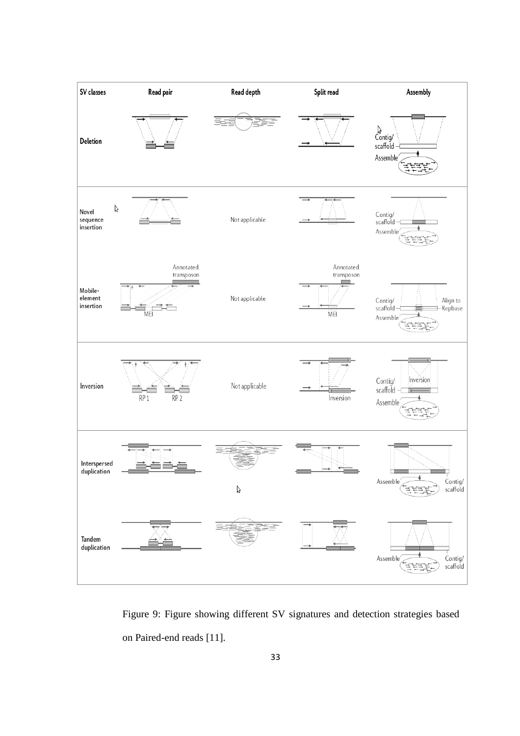

Figure 9: Figure showing different SV signatures and detection strategies based on Paired-end reads [11].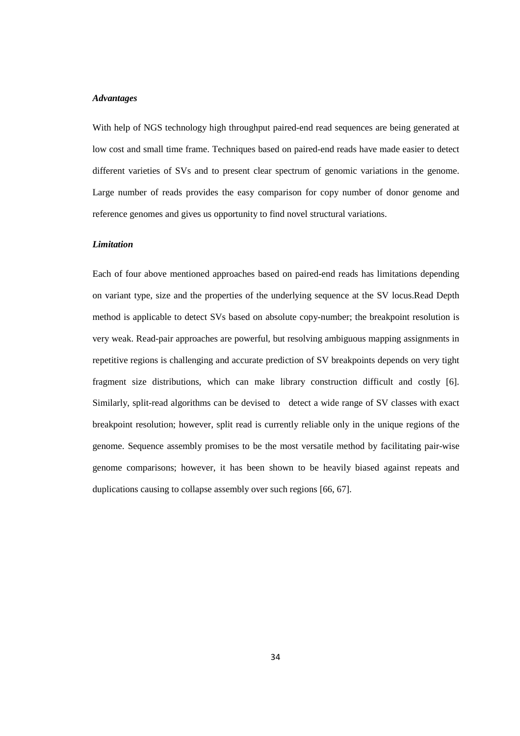#### *Advantages*

With help of NGS technology high throughput paired-end read sequences are being generated at low cost and small time frame. Techniques based on paired-end reads have made easier to detect different varieties of SVs and to present clear spectrum of genomic variations in the genome. Large number of reads provides the easy comparison for copy number of donor genome and reference genomes and gives us opportunity to find novel structural variations.

### *Limitation*

Each of four above mentioned approaches based on paired-end reads has limitations depending on variant type, size and the properties of the underlying sequence at the SV locus.Read Depth method is applicable to detect SVs based on absolute copy-number; the breakpoint resolution is very weak. Read-pair approaches are powerful, but resolving ambiguous mapping assignments in repetitive regions is challenging and accurate prediction of SV breakpoints depends on very tight fragment size distributions, which can make library construction difficult and costly [6]. Similarly, split-read algorithms can be devised to detect a wide range of SV classes with exact breakpoint resolution; however, split read is currently reliable only in the unique regions of the genome. Sequence assembly promises to be the most versatile method by facilitating pair-wise genome comparisons; however, it has been shown to be heavily biased against repeats and duplications causing to collapse assembly over such regions [66, 67].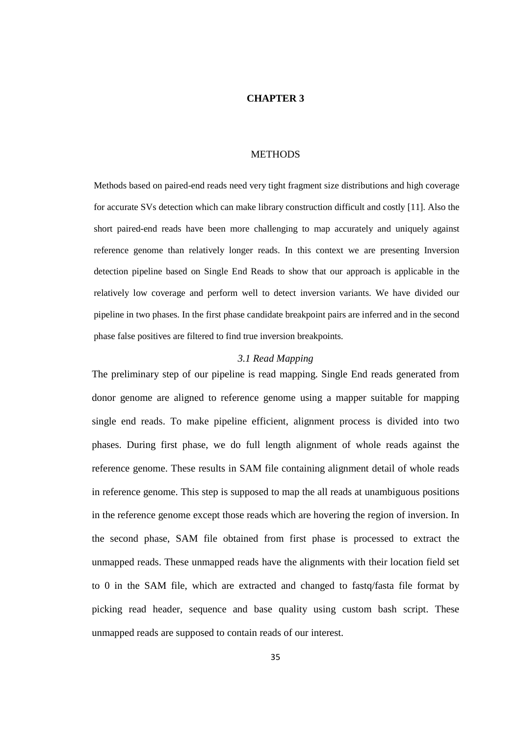### **CHAPTER 3**

#### **METHODS**

Methods based on paired-end reads need very tight fragment size distributions and high coverage for accurate SVs detection which can make library construction difficult and costly [11]. Also the short paired-end reads have been more challenging to map accurately and uniquely against reference genome than relatively longer reads. In this context we are presenting Inversion detection pipeline based on Single End Reads to show that our approach is applicable in the relatively low coverage and perform well to detect inversion variants. We have divided our pipeline in two phases. In the first phase candidate breakpoint pairs are inferred and in the second phase false positives are filtered to find true inversion breakpoints.

### *3.1 Read Mapping*

The preliminary step of our pipeline is read mapping. Single End reads generated from donor genome are aligned to reference genome using a mapper suitable for mapping single end reads. To make pipeline efficient, alignment process is divided into two phases. During first phase, we do full length alignment of whole reads against the reference genome. These results in SAM file containing alignment detail of whole reads in reference genome. This step is supposed to map the all reads at unambiguous positions in the reference genome except those reads which are hovering the region of inversion. In the second phase, SAM file obtained from first phase is processed to extract the unmapped reads. These unmapped reads have the alignments with their location field set to 0 in the SAM file, which are extracted and changed to fastq/fasta file format by picking read header, sequence and base quality using custom bash script. These unmapped reads are supposed to contain reads of our interest.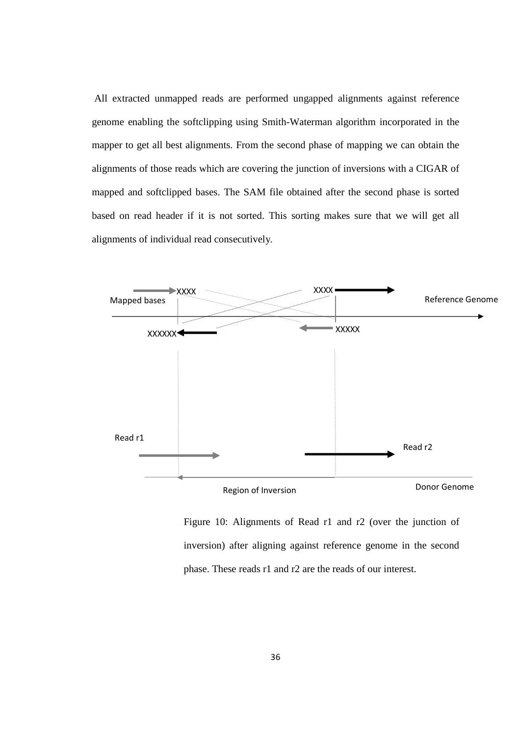All extracted unmapped reads are performed ungapped alignments against reference genome enabling the softclipping using Smith-Waterman algorithm incorporated in the mapper to get all best alignments. From the second phase of mapping we can obtain the alignments of those reads which are covering the junction of inversions with a CIGAR of mapped and softclipped bases. The SAM file obtained after the second phase is sorted based on read header if it is not sorted. This sorting makes sure that we will get all alignments of individual read consecutively.



Figure 10: Alignments of Read r1 and r2 (over the junction of inversion) after aligning against reference genome in the second phase. These reads r1 and r2 are the reads of our interest.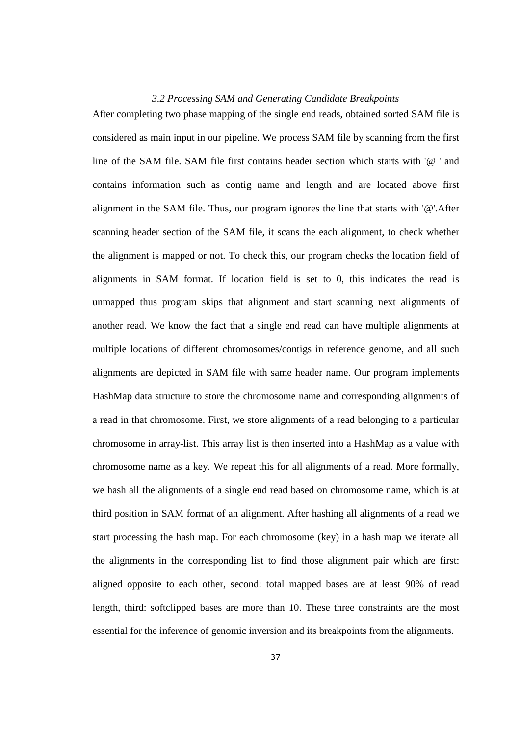### *3.2 Processing SAM and Generating Candidate Breakpoints*

After completing two phase mapping of the single end reads, obtained sorted SAM file is considered as main input in our pipeline. We process SAM file by scanning from the first line of the SAM file. SAM file first contains header section which starts with '@ ' and contains information such as contig name and length and are located above first alignment in the SAM file. Thus, our program ignores the line that starts with '@'.After scanning header section of the SAM file, it scans the each alignment, to check whether the alignment is mapped or not. To check this, our program checks the location field of alignments in SAM format. If location field is set to 0, this indicates the read is unmapped thus program skips that alignment and start scanning next alignments of another read. We know the fact that a single end read can have multiple alignments at multiple locations of different chromosomes/contigs in reference genome, and all such alignments are depicted in SAM file with same header name. Our program implements HashMap data structure to store the chromosome name and corresponding alignments of a read in that chromosome. First, we store alignments of a read belonging to a particular chromosome in array-list. This array list is then inserted into a HashMap as a value with chromosome name as a key. We repeat this for all alignments of a read. More formally, we hash all the alignments of a single end read based on chromosome name, which is at third position in SAM format of an alignment. After hashing all alignments of a read we start processing the hash map. For each chromosome (key) in a hash map we iterate all the alignments in the corresponding list to find those alignment pair which are first: aligned opposite to each other, second: total mapped bases are at least 90% of read length, third: softclipped bases are more than 10. These three constraints are the most essential for the inference of genomic inversion and its breakpoints from the alignments.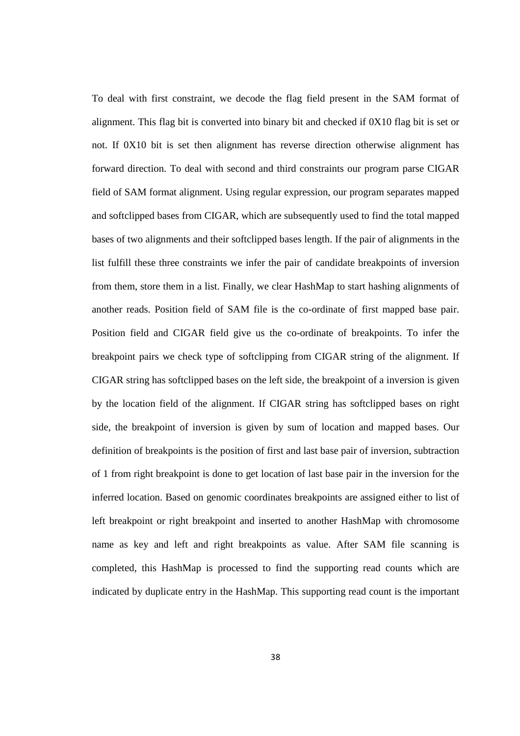To deal with first constraint, we decode the flag field present in the SAM format of alignment. This flag bit is converted into binary bit and checked if 0X10 flag bit is set or not. If 0X10 bit is set then alignment has reverse direction otherwise alignment has forward direction. To deal with second and third constraints our program parse CIGAR field of SAM format alignment. Using regular expression, our program separates mapped and softclipped bases from CIGAR, which are subsequently used to find the total mapped bases of two alignments and their softclipped bases length. If the pair of alignments in the list fulfill these three constraints we infer the pair of candidate breakpoints of inversion from them, store them in a list. Finally, we clear HashMap to start hashing alignments of another reads. Position field of SAM file is the co-ordinate of first mapped base pair. Position field and CIGAR field give us the co-ordinate of breakpoints. To infer the breakpoint pairs we check type of softclipping from CIGAR string of the alignment. If CIGAR string has softclipped bases on the left side, the breakpoint of a inversion is given by the location field of the alignment. If CIGAR string has softclipped bases on right side, the breakpoint of inversion is given by sum of location and mapped bases. Our definition of breakpoints is the position of first and last base pair of inversion, subtraction of 1 from right breakpoint is done to get location of last base pair in the inversion for the inferred location. Based on genomic coordinates breakpoints are assigned either to list of left breakpoint or right breakpoint and inserted to another HashMap with chromosome name as key and left and right breakpoints as value. After SAM file scanning is completed, this HashMap is processed to find the supporting read counts which are indicated by duplicate entry in the HashMap. This supporting read count is the important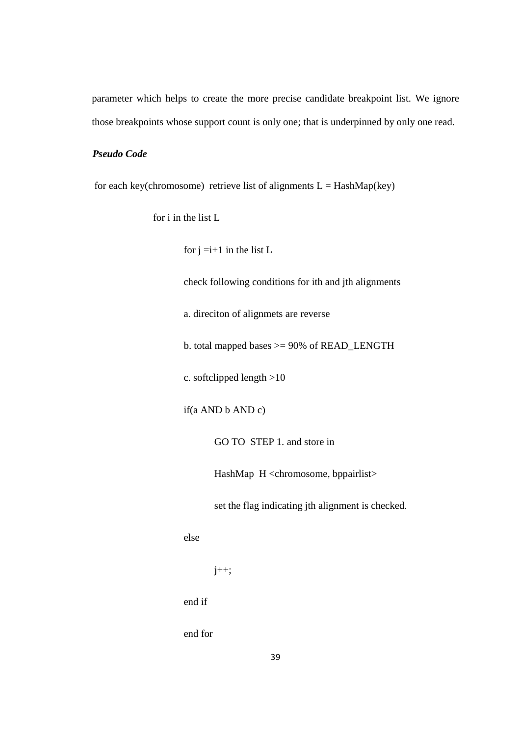parameter which helps to create the more precise candidate breakpoint list. We ignore those breakpoints whose support count is only one; that is underpinned by only one read.

## *Pseudo Code*

for each key(chromosome) retrieve list of alignments  $L =$  HashMap(key)

for i in the list L

for  $j = i+1$  in the list L

check following conditions for ith and jth alignments

a. direciton of alignmets are reverse

b. total mapped bases >= 90% of READ\_LENGTH

c. softclipped length >10

if(a AND b AND c)

GO TO STEP 1. and store in

HashMap H <chromosome, bppairlist>

set the flag indicating jth alignment is checked.

else

j++;

end if

end for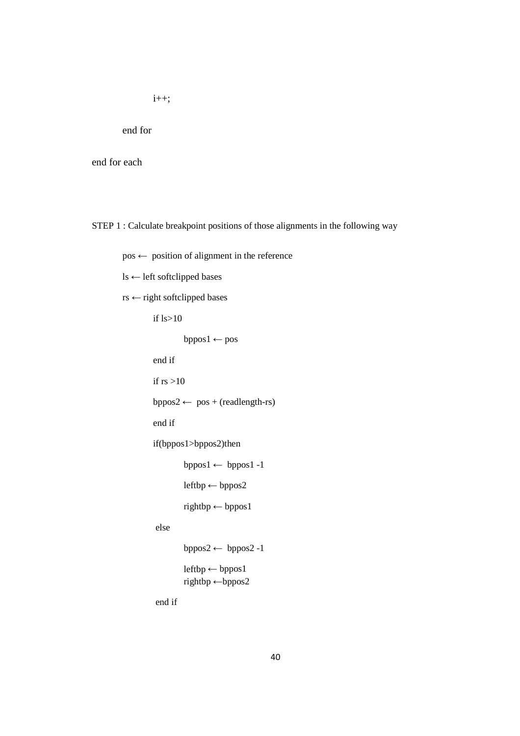i++;

end for

end for each

STEP 1 : Calculate breakpoint positions of those alignments in the following way

 $pos \leftarrow$  position of alignment in the reference

ls ← left softclipped bases

rs ← right softclipped bases

if ls>10

 $bppos1 \leftarrow pos$ 

end if

if  $rs > 10$ 

bppos2  $\leftarrow$  pos + (readlength-rs)

end if

if(bppos1>bppos2)then

bppos1 ← bppos1 -1

leftbp ← bppos2

rightbp ← bppos1

else

bppos2  $\leftarrow$  bppos2 -1

 $leftbp \leftarrow bppos1$ rightbp ←bppos2

end if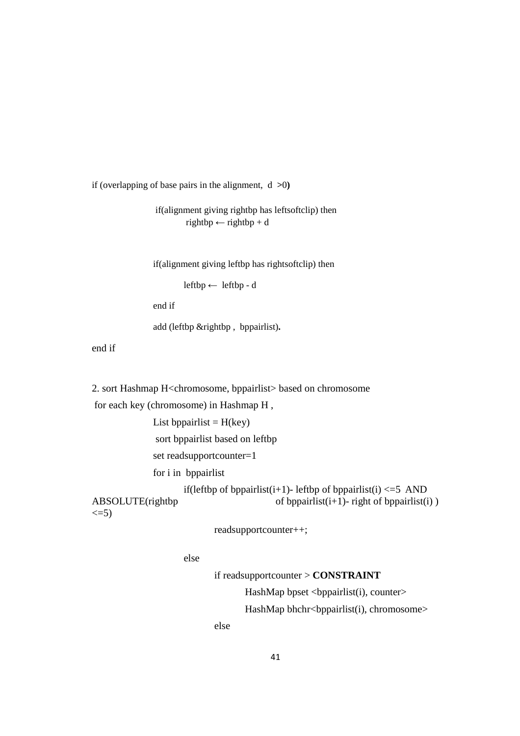if (overlapping of base pairs in the alignment, d **>**0**)**

 if(alignment giving rightbp has leftsoftclip) then  $rightbp \leftarrow rightbp + d$ 

if(alignment giving leftbp has rightsoftclip) then

leftbp ← leftbp - d

end if

add (leftbp &rightbp , bppairlist)**.** 

end if

2. sort Hashmap H<chromosome, bppairlist> based on chromosome

for each key (chromosome) in Hashmap H ,

List bppairlist  $=$  H(key) sort bppairlist based on leftbp set readsupportcounter=1 for i in bppairlist if(leftbp of bppairlist(i+1)- leftbp of bppairlist(i)  $\leq$  =5 AND ABSOLUTE(rightbp of bppairlist( $i+1$ )- right of bppairlist( $i$ ))  $\leq$ =5)

readsupportcounter++;

else

 if readsupportcounter > **CONSTRAINT**  HashMap bpset <bppairlist(i), counter>

HashMap bhchr<br/>>bppairlist(i), chromosome>

else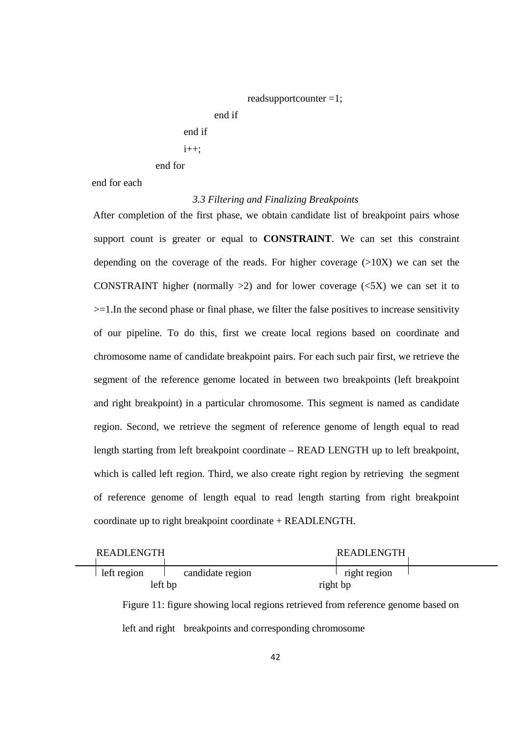readsupportcounter =1; end if end if

 $i++$ ;

end for

end for each

# *3.3 Filtering and Finalizing Breakpoints*

After completion of the first phase, we obtain candidate list of breakpoint pairs whose support count is greater or equal to **CONSTRAINT**. We can set this constraint depending on the coverage of the reads. For higher coverage  $(>10X)$  we can set the CONSTRAINT higher (normally  $>2$ ) and for lower coverage ( $\lt 5X$ ) we can set it to >=1.In the second phase or final phase, we filter the false positives to increase sensitivity of our pipeline. To do this, first we create local regions based on coordinate and chromosome name of candidate breakpoint pairs. For each such pair first, we retrieve the segment of the reference genome located in between two breakpoints (left breakpoint and right breakpoint) in a particular chromosome. This segment is named as candidate region. Second, we retrieve the segment of reference genome of length equal to read length starting from left breakpoint coordinate – READ LENGTH up to left breakpoint, which is called left region. Third, we also create right region by retrieving the segment of reference genome of length equal to read length starting from right breakpoint coordinate up to right breakpoint coordinate + READLENGTH.

| <b>READLENGTH</b> |                                                         | <b>READLENGTH</b>                                                                |  |
|-------------------|---------------------------------------------------------|----------------------------------------------------------------------------------|--|
| left region       | candidate region                                        | right region                                                                     |  |
| left bp           |                                                         | right bp                                                                         |  |
|                   |                                                         | Figure 11: figure showing local regions retrieved from reference genome based on |  |
|                   | left and right breakpoints and corresponding chromosome |                                                                                  |  |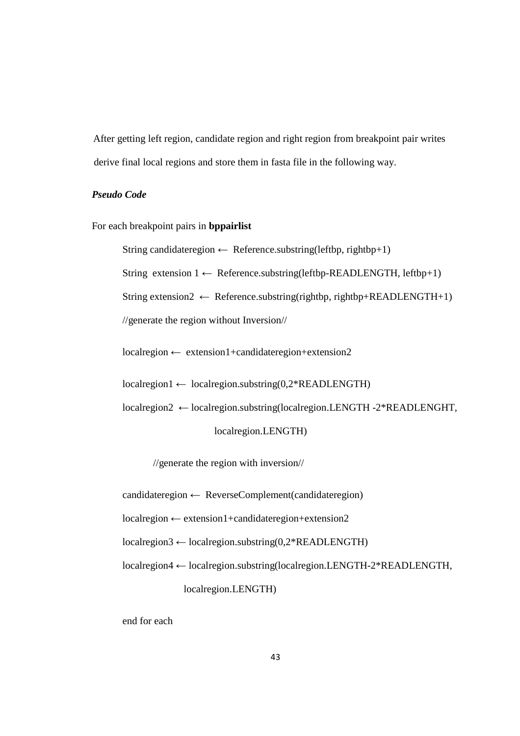After getting left region, candidate region and right region from breakpoint pair writes derive final local regions and store them in fasta file in the following way.

## *Pseudo Code*

For each breakpoint pairs in **bppairlist**

String candidateregion  $\leftarrow$  Reference.substring(leftbp, rightbp+1)

String extension  $1 \leftarrow$  Reference.substring(leftbp-READLENGTH, leftbp+1)

String extension2  $\leftarrow$  Reference.substring(rightbp, rightbp+READLENGTH+1)

//generate the region without Inversion//

localregion ← extension1+candidateregion+extension2

 $local region1 \leftarrow local region.substring(0,2*READLENGTH)$ 

 localregion2 ← localregion.substring(localregion.LENGTH -2\*READLENGHT, localregion.LENGTH)

//generate the region with inversion//

candidateregion ← ReverseComplement(candidateregion)

localregion ← extension1+candidateregion+extension2

 $local region3 \leftarrow local region.substring(0,2*READLENGTH)$ 

localregion4 ← localregion.substring(localregion.LENGTH-2\*READLENGTH,

localregion.LENGTH)

end for each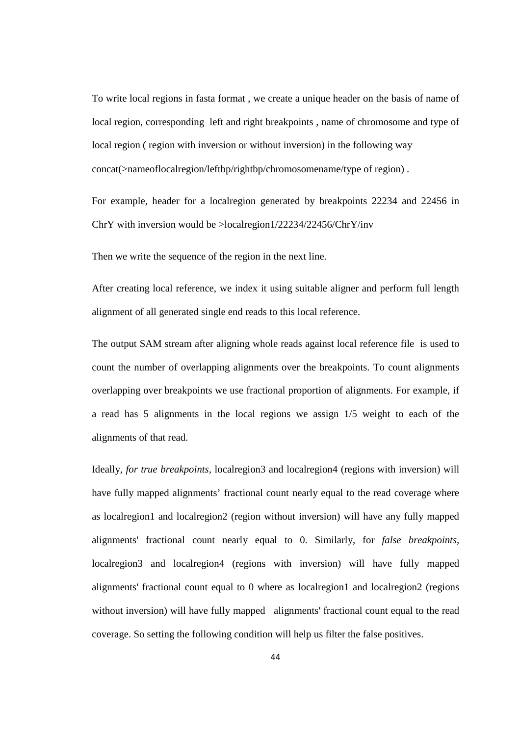To write local regions in fasta format , we create a unique header on the basis of name of local region, corresponding left and right breakpoints , name of chromosome and type of local region ( region with inversion or without inversion) in the following way concat(>nameoflocalregion/leftbp/rightbp/chromosomename/type of region) .

For example, header for a localregion generated by breakpoints 22234 and 22456 in ChrY with inversion would be >localregion1/22234/22456/ChrY/inv

Then we write the sequence of the region in the next line.

After creating local reference, we index it using suitable aligner and perform full length alignment of all generated single end reads to this local reference.

The output SAM stream after aligning whole reads against local reference file is used to count the number of overlapping alignments over the breakpoints. To count alignments overlapping over breakpoints we use fractional proportion of alignments. For example, if a read has 5 alignments in the local regions we assign 1/5 weight to each of the alignments of that read.

Ideally, *for true breakpoints,* localregion3 and localregion4 (regions with inversion) will have fully mapped alignments' fractional count nearly equal to the read coverage where as localregion1 and localregion2 (region without inversion) will have any fully mapped alignments' fractional count nearly equal to 0. Similarly, for *false breakpoints*, localregion3 and localregion4 (regions with inversion) will have fully mapped alignments' fractional count equal to 0 where as localregion1 and localregion2 (regions without inversion) will have fully mapped alignments' fractional count equal to the read coverage. So setting the following condition will help us filter the false positives.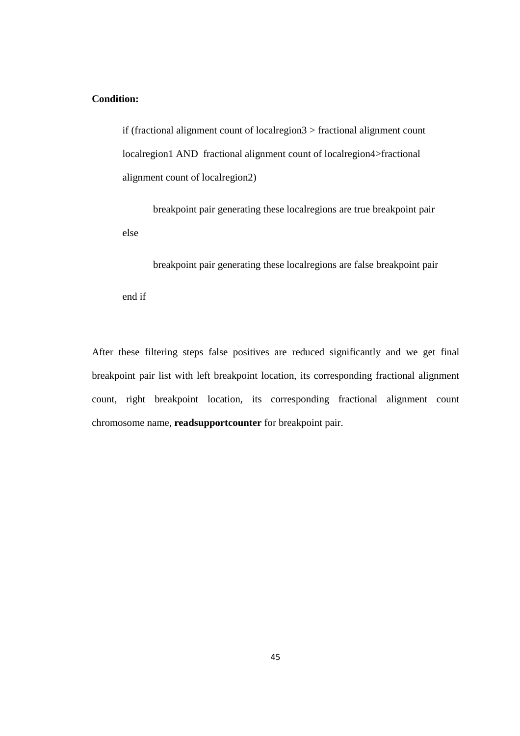## **Condition:**

if (fractional alignment count of localregion3 > fractional alignment count localregion1 AND fractional alignment count of localregion4>fractional alignment count of localregion2)

 breakpoint pair generating these localregions are true breakpoint pair else

 breakpoint pair generating these localregions are false breakpoint pair end if

After these filtering steps false positives are reduced significantly and we get final breakpoint pair list with left breakpoint location, its corresponding fractional alignment count, right breakpoint location, its corresponding fractional alignment count chromosome name, **readsupportcounter** for breakpoint pair.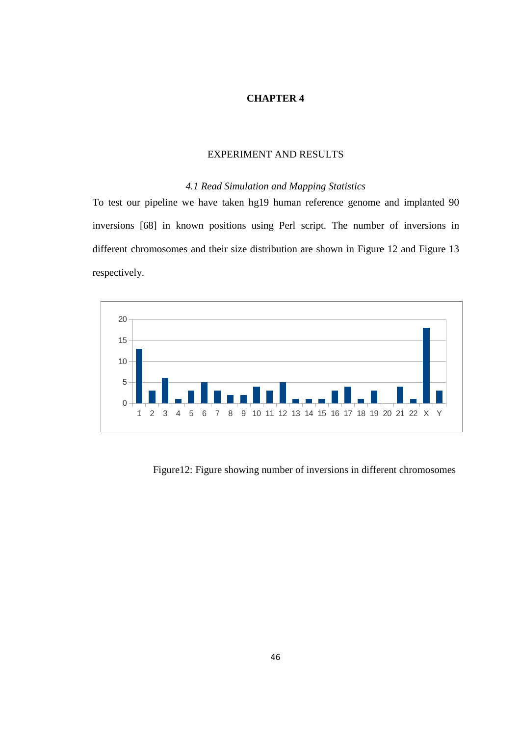## **CHAPTER 4**

### EXPERIMENT AND RESULTS

## *4.1 Read Simulation and Mapping Statistics*

To test our pipeline we have taken hg19 human reference genome and implanted 90 inversions [68] in known positions using Perl script. The number of inversions in different chromosomes and their size distribution are shown in Figure 12 and Figure 13 respectively.



Figure12: Figure showing number of inversions in different chromosomes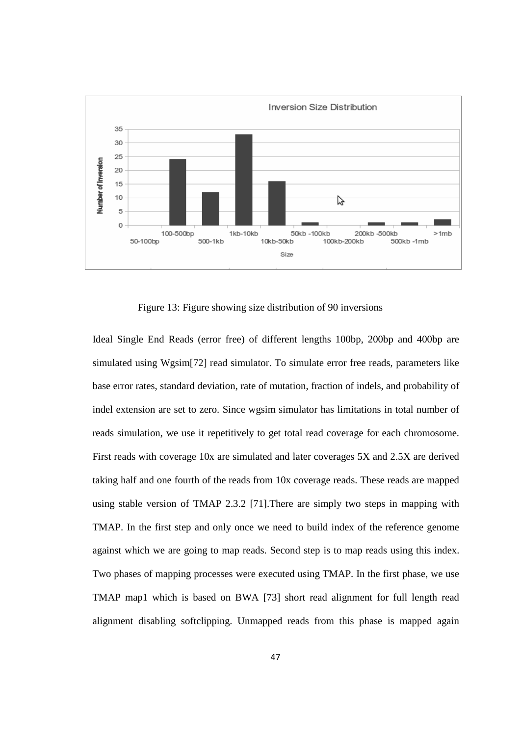

Figure 13: Figure showing size distribution of 90 inversions

Ideal Single End Reads (error free) of different lengths 100bp, 200bp and 400bp are simulated using Wgsim[72] read simulator. To simulate error free reads, parameters like base error rates, standard deviation, rate of mutation, fraction of indels, and probability of indel extension are set to zero. Since wgsim simulator has limitations in total number of reads simulation, we use it repetitively to get total read coverage for each chromosome. First reads with coverage 10x are simulated and later coverages 5X and 2.5X are derived taking half and one fourth of the reads from 10x coverage reads. These reads are mapped using stable version of TMAP 2.3.2 [71].There are simply two steps in mapping with TMAP. In the first step and only once we need to build index of the reference genome against which we are going to map reads. Second step is to map reads using this index. Two phases of mapping processes were executed using TMAP. In the first phase, we use TMAP map1 which is based on BWA [73] short read alignment for full length read alignment disabling softclipping. Unmapped reads from this phase is mapped again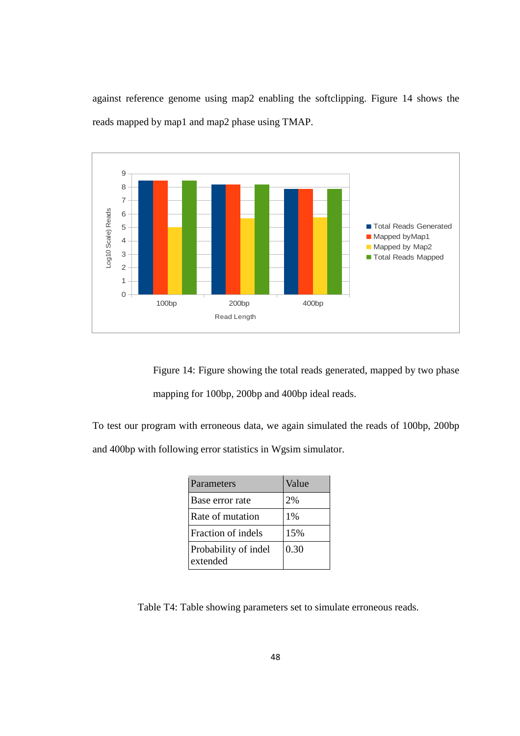against reference genome using map2 enabling the softclipping. Figure 14 shows the reads mapped by map1 and map2 phase using TMAP.



Figure 14: Figure showing the total reads generated, mapped by two phase mapping for 100bp, 200bp and 400bp ideal reads.

To test our program with erroneous data, we again simulated the reads of 100bp, 200bp and 400bp with following error statistics in Wgsim simulator.

| Parameters                       | Value |
|----------------------------------|-------|
| Base error rate                  | 2%    |
| Rate of mutation                 | $1\%$ |
| Fraction of indels               | 15%   |
| Probability of indel<br>extended | 0.30  |

Table T4: Table showing parameters set to simulate erroneous reads.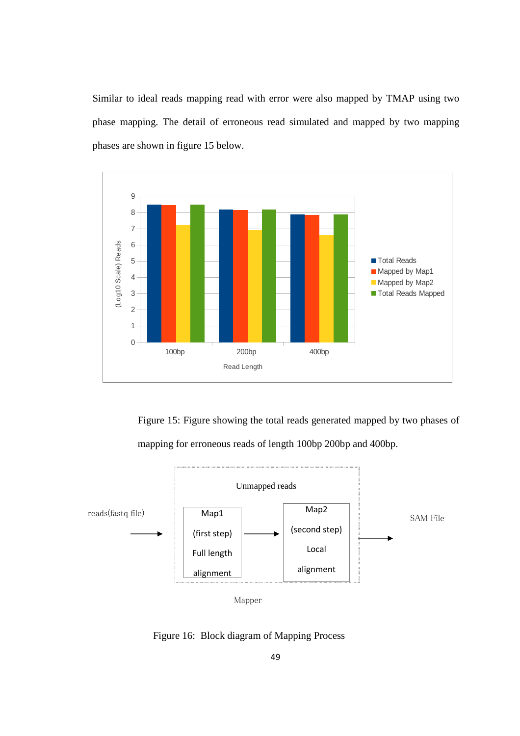Similar to ideal reads mapping read with error were also mapped by TMAP using two phase mapping. The detail of erroneous read simulated and mapped by two mapping phases are shown in figure 15 below.



Figure 15: Figure showing the total reads generated mapped by two phases of mapping for erroneous reads of length 100bp 200bp and 400bp.



Mapper

Figure 16: Block diagram of Mapping Process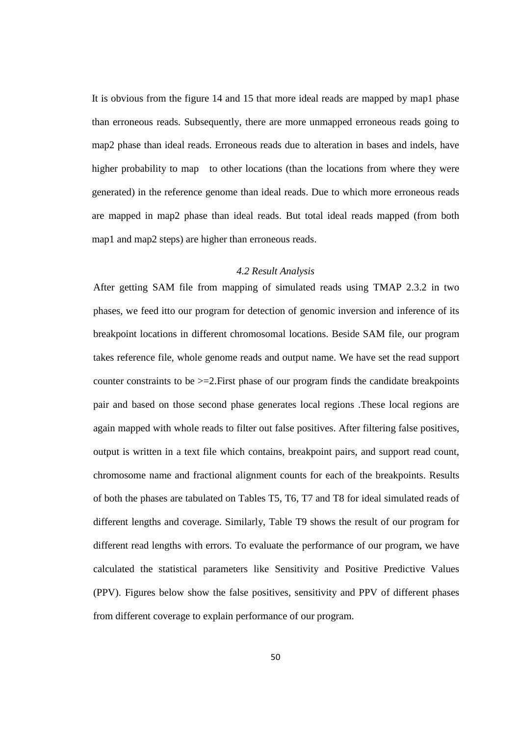It is obvious from the figure 14 and 15 that more ideal reads are mapped by map1 phase than erroneous reads. Subsequently, there are more unmapped erroneous reads going to map2 phase than ideal reads. Erroneous reads due to alteration in bases and indels, have higher probability to map to other locations (than the locations from where they were generated) in the reference genome than ideal reads. Due to which more erroneous reads are mapped in map2 phase than ideal reads. But total ideal reads mapped (from both map1 and map2 steps) are higher than erroneous reads.

#### *4.2 Result Analysis*

After getting SAM file from mapping of simulated reads using TMAP 2.3.2 in two phases, we feed itto our program for detection of genomic inversion and inference of its breakpoint locations in different chromosomal locations. Beside SAM file, our program takes reference file, whole genome reads and output name. We have set the read support counter constraints to be  $>=2$ . First phase of our program finds the candidate breakpoints pair and based on those second phase generates local regions .These local regions are again mapped with whole reads to filter out false positives. After filtering false positives, output is written in a text file which contains, breakpoint pairs, and support read count, chromosome name and fractional alignment counts for each of the breakpoints. Results of both the phases are tabulated on Tables T5, T6, T7 and T8 for ideal simulated reads of different lengths and coverage. Similarly, Table T9 shows the result of our program for different read lengths with errors. To evaluate the performance of our program, we have calculated the statistical parameters like Sensitivity and Positive Predictive Values (PPV). Figures below show the false positives, sensitivity and PPV of different phases from different coverage to explain performance of our program.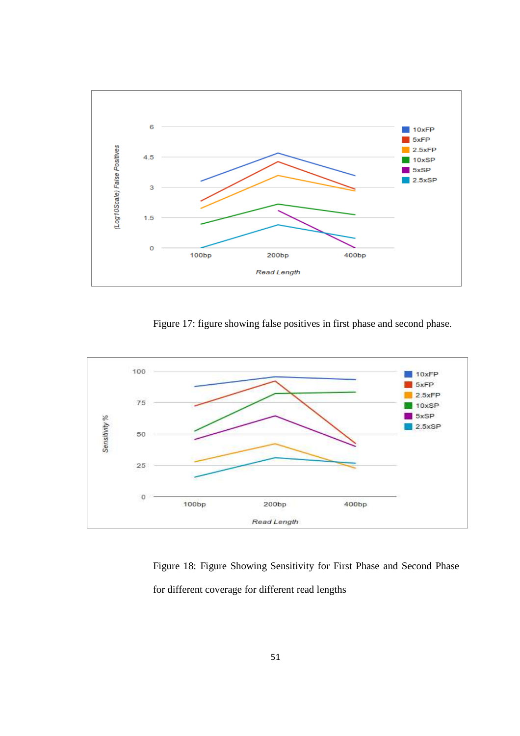

Figure 17: figure showing false positives in first phase and second phase.



Figure 18: Figure Showing Sensitivity for First Phase and Second Phase for different coverage for different read lengths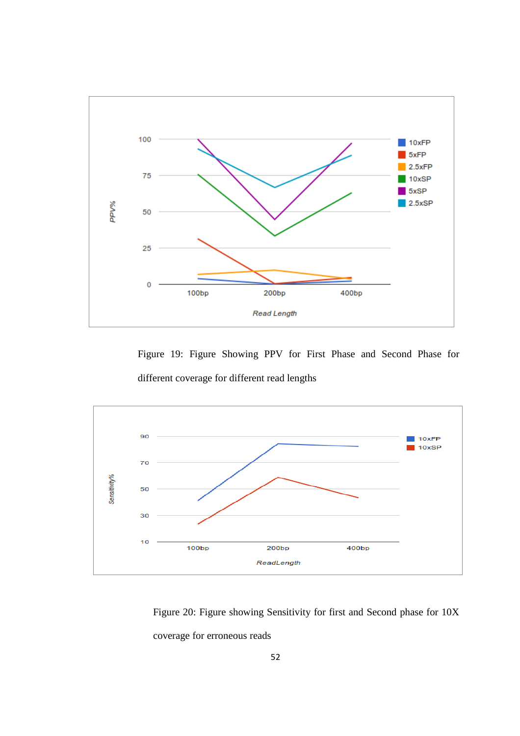

 Figure 19: Figure Showing PPV for First Phase and Second Phase for different coverage for different read lengths



Figure 20: Figure showing Sensitivity for first and Second phase for 10X coverage for erroneous reads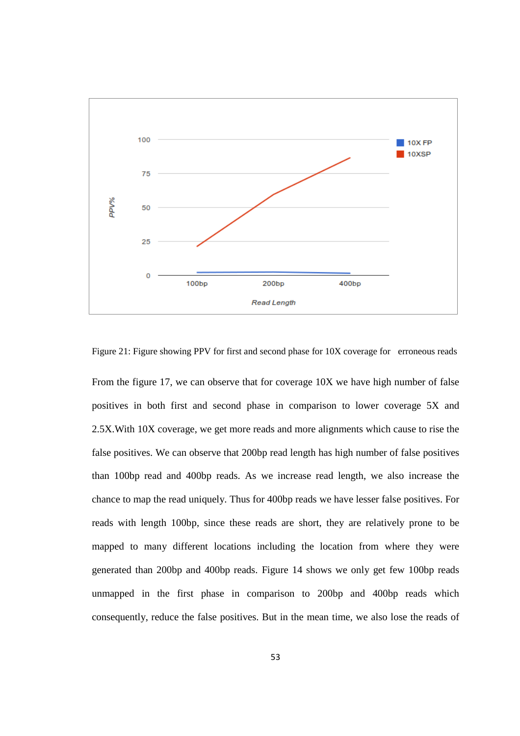

Figure 21: Figure showing PPV for first and second phase for 10X coverage for erroneous reads

From the figure 17, we can observe that for coverage 10X we have high number of false positives in both first and second phase in comparison to lower coverage 5X and 2.5X.With 10X coverage, we get more reads and more alignments which cause to rise the false positives. We can observe that 200bp read length has high number of false positives than 100bp read and 400bp reads. As we increase read length, we also increase the chance to map the read uniquely. Thus for 400bp reads we have lesser false positives. For reads with length 100bp, since these reads are short, they are relatively prone to be mapped to many different locations including the location from where they were generated than 200bp and 400bp reads. Figure 14 shows we only get few 100bp reads unmapped in the first phase in comparison to 200bp and 400bp reads which consequently, reduce the false positives. But in the mean time, we also lose the reads of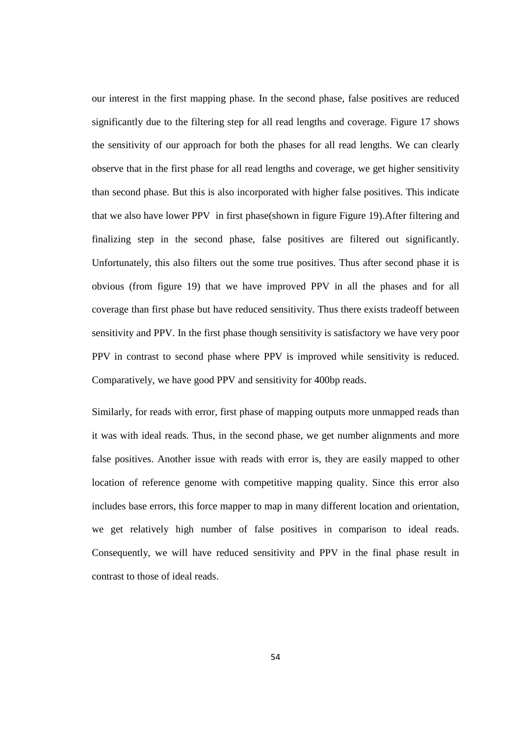our interest in the first mapping phase. In the second phase, false positives are reduced significantly due to the filtering step for all read lengths and coverage. Figure 17 shows the sensitivity of our approach for both the phases for all read lengths. We can clearly observe that in the first phase for all read lengths and coverage, we get higher sensitivity than second phase. But this is also incorporated with higher false positives. This indicate that we also have lower PPV in first phase(shown in figure Figure 19).After filtering and finalizing step in the second phase, false positives are filtered out significantly. Unfortunately, this also filters out the some true positives. Thus after second phase it is obvious (from figure 19) that we have improved PPV in all the phases and for all coverage than first phase but have reduced sensitivity. Thus there exists tradeoff between sensitivity and PPV. In the first phase though sensitivity is satisfactory we have very poor PPV in contrast to second phase where PPV is improved while sensitivity is reduced. Comparatively, we have good PPV and sensitivity for 400bp reads.

Similarly, for reads with error, first phase of mapping outputs more unmapped reads than it was with ideal reads. Thus, in the second phase, we get number alignments and more false positives. Another issue with reads with error is, they are easily mapped to other location of reference genome with competitive mapping quality. Since this error also includes base errors, this force mapper to map in many different location and orientation, we get relatively high number of false positives in comparison to ideal reads. Consequently, we will have reduced sensitivity and PPV in the final phase result in contrast to those of ideal reads.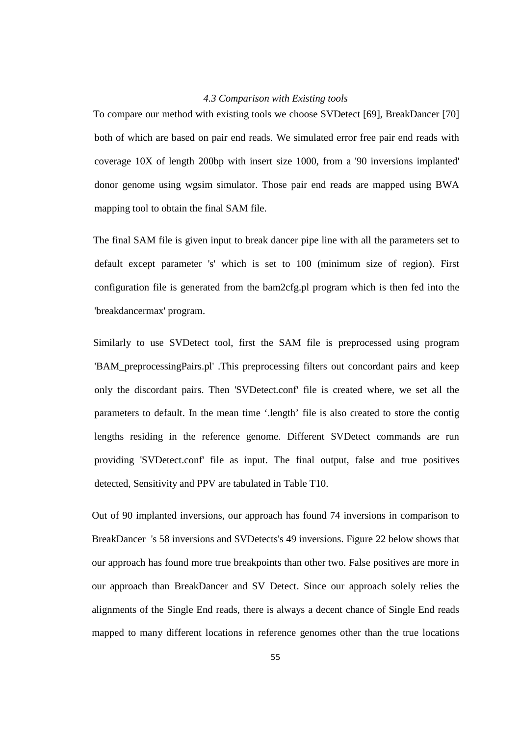### *4.3 Comparison with Existing tools*

To compare our method with existing tools we choose SVDetect [69], BreakDancer [70] both of which are based on pair end reads. We simulated error free pair end reads with coverage 10X of length 200bp with insert size 1000, from a '90 inversions implanted' donor genome using wgsim simulator. Those pair end reads are mapped using BWA mapping tool to obtain the final SAM file.

The final SAM file is given input to break dancer pipe line with all the parameters set to default except parameter 's' which is set to 100 (minimum size of region). First configuration file is generated from the bam2cfg.pl program which is then fed into the 'breakdancermax' program.

Similarly to use SVDetect tool, first the SAM file is preprocessed using program 'BAM\_preprocessingPairs.pl' .This preprocessing filters out concordant pairs and keep only the discordant pairs. Then 'SVDetect.conf' file is created where, we set all the parameters to default. In the mean time '.length' file is also created to store the contig lengths residing in the reference genome. Different SVDetect commands are run providing 'SVDetect.conf' file as input. The final output, false and true positives detected, Sensitivity and PPV are tabulated in Table T10.

Out of 90 implanted inversions, our approach has found 74 inversions in comparison to BreakDancer 's 58 inversions and SVDetects's 49 inversions. Figure 22 below shows that our approach has found more true breakpoints than other two. False positives are more in our approach than BreakDancer and SV Detect. Since our approach solely relies the alignments of the Single End reads, there is always a decent chance of Single End reads mapped to many different locations in reference genomes other than the true locations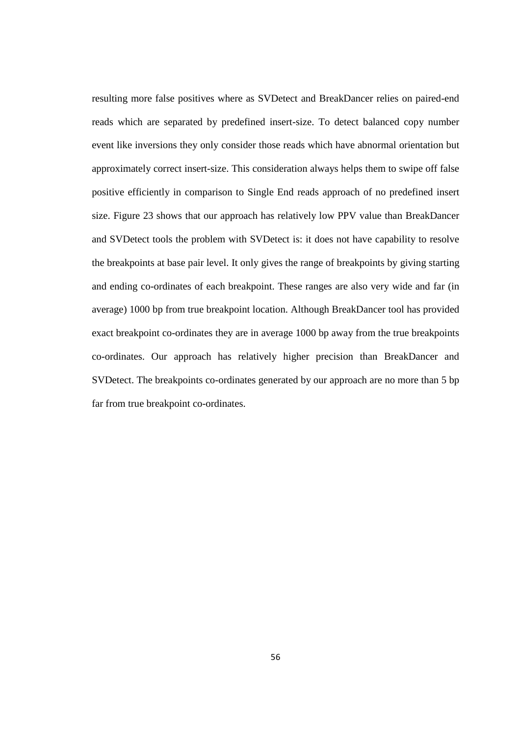resulting more false positives where as SVDetect and BreakDancer relies on paired-end reads which are separated by predefined insert-size. To detect balanced copy number event like inversions they only consider those reads which have abnormal orientation but approximately correct insert-size. This consideration always helps them to swipe off false positive efficiently in comparison to Single End reads approach of no predefined insert size. Figure 23 shows that our approach has relatively low PPV value than BreakDancer and SVDetect tools the problem with SVDetect is: it does not have capability to resolve the breakpoints at base pair level. It only gives the range of breakpoints by giving starting and ending co-ordinates of each breakpoint. These ranges are also very wide and far (in average) 1000 bp from true breakpoint location. Although BreakDancer tool has provided exact breakpoint co-ordinates they are in average 1000 bp away from the true breakpoints co-ordinates. Our approach has relatively higher precision than BreakDancer and SVDetect. The breakpoints co-ordinates generated by our approach are no more than 5 bp far from true breakpoint co-ordinates.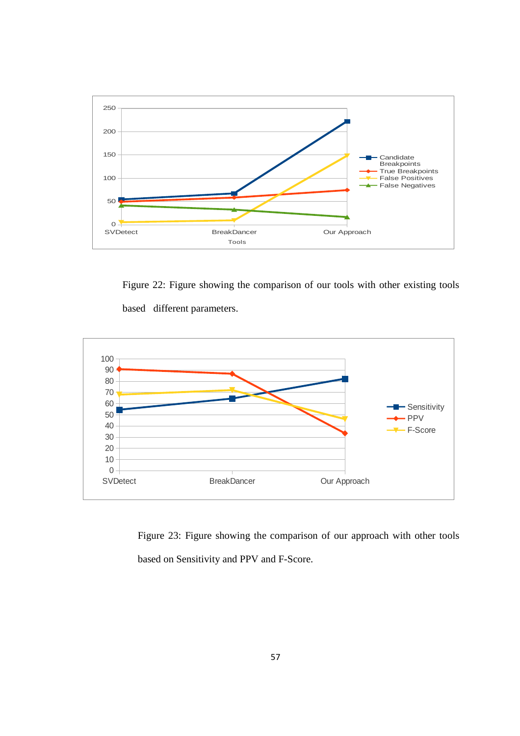

Figure 22: Figure showing the comparison of our tools with other existing tools based different parameters.



Figure 23: Figure showing the comparison of our approach with other tools based on Sensitivity and PPV and F-Score.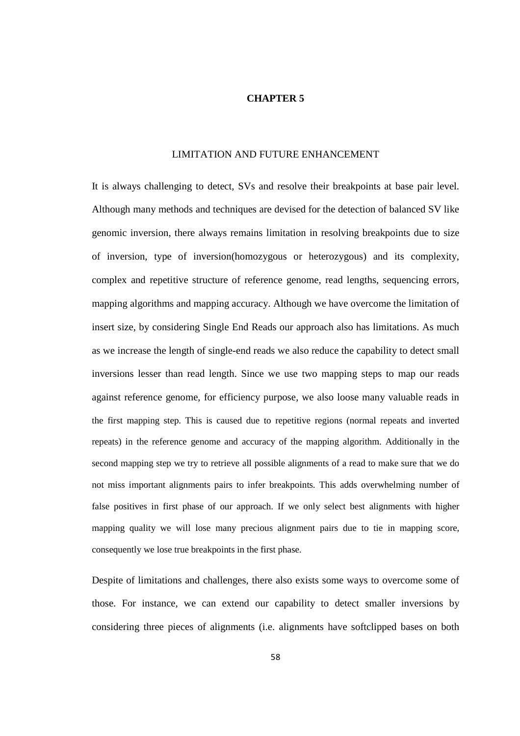### **CHAPTER 5**

### LIMITATION AND FUTURE ENHANCEMENT

It is always challenging to detect, SVs and resolve their breakpoints at base pair level. Although many methods and techniques are devised for the detection of balanced SV like genomic inversion, there always remains limitation in resolving breakpoints due to size of inversion, type of inversion(homozygous or heterozygous) and its complexity, complex and repetitive structure of reference genome, read lengths, sequencing errors, mapping algorithms and mapping accuracy. Although we have overcome the limitation of insert size, by considering Single End Reads our approach also has limitations. As much as we increase the length of single-end reads we also reduce the capability to detect small inversions lesser than read length. Since we use two mapping steps to map our reads against reference genome, for efficiency purpose, we also loose many valuable reads in the first mapping step. This is caused due to repetitive regions (normal repeats and inverted repeats) in the reference genome and accuracy of the mapping algorithm. Additionally in the second mapping step we try to retrieve all possible alignments of a read to make sure that we do not miss important alignments pairs to infer breakpoints. This adds overwhelming number of false positives in first phase of our approach. If we only select best alignments with higher mapping quality we will lose many precious alignment pairs due to tie in mapping score, consequently we lose true breakpoints in the first phase.

Despite of limitations and challenges, there also exists some ways to overcome some of those. For instance, we can extend our capability to detect smaller inversions by considering three pieces of alignments (i.e. alignments have softclipped bases on both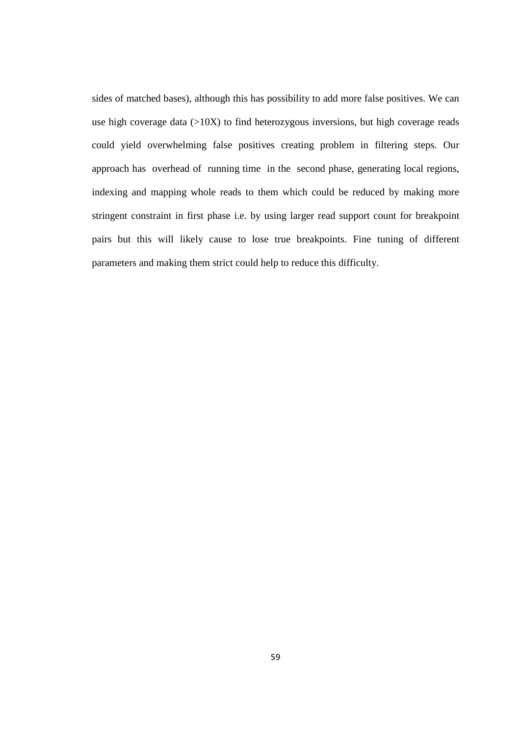sides of matched bases), although this has possibility to add more false positives. We can use high coverage data  $(>10X)$  to find heterozygous inversions, but high coverage reads could yield overwhelming false positives creating problem in filtering steps. Our approach has overhead of running time in the second phase, generating local regions, indexing and mapping whole reads to them which could be reduced by making more stringent constraint in first phase i.e. by using larger read support count for breakpoint pairs but this will likely cause to lose true breakpoints. Fine tuning of different parameters and making them strict could help to reduce this difficulty.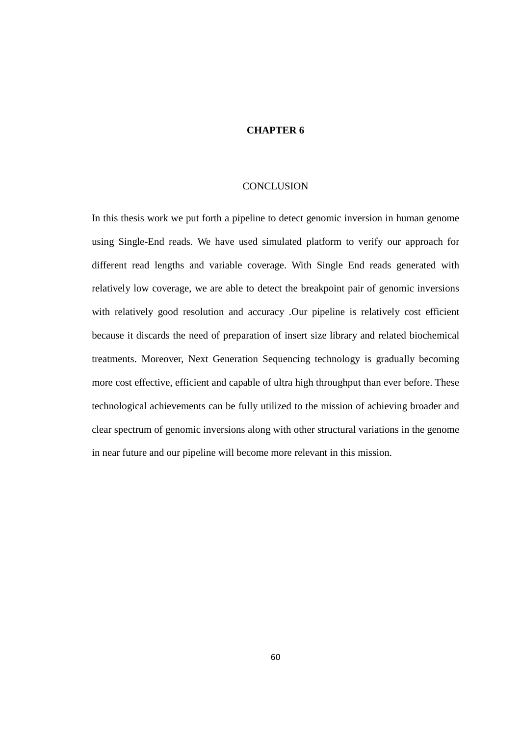## **CHAPTER 6**

### **CONCLUSION**

In this thesis work we put forth a pipeline to detect genomic inversion in human genome using Single-End reads. We have used simulated platform to verify our approach for different read lengths and variable coverage. With Single End reads generated with relatively low coverage, we are able to detect the breakpoint pair of genomic inversions with relatively good resolution and accuracy .Our pipeline is relatively cost efficient because it discards the need of preparation of insert size library and related biochemical treatments. Moreover, Next Generation Sequencing technology is gradually becoming more cost effective, efficient and capable of ultra high throughput than ever before. These technological achievements can be fully utilized to the mission of achieving broader and clear spectrum of genomic inversions along with other structural variations in the genome in near future and our pipeline will become more relevant in this mission.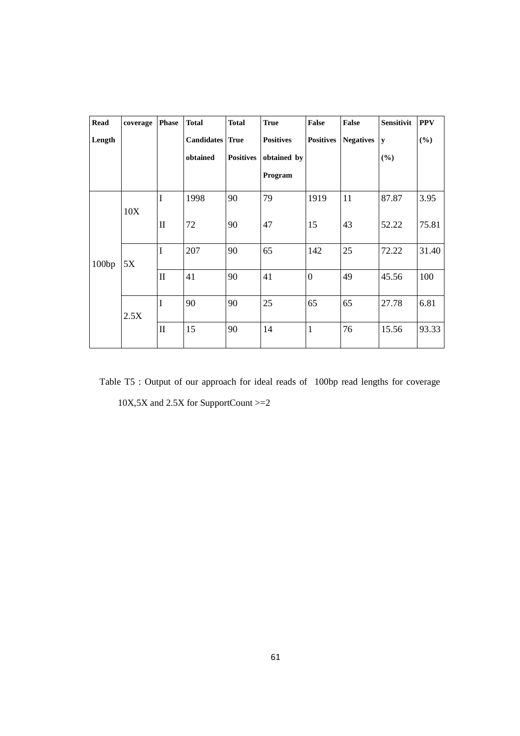| <b>Read</b> | coverage | <b>Phase</b> | <b>Total</b>      | <b>Total</b>     | <b>True</b>      | False            | False            | <b>Sensitivit</b> | <b>PPV</b> |
|-------------|----------|--------------|-------------------|------------------|------------------|------------------|------------------|-------------------|------------|
| Length      |          |              | <b>Candidates</b> | True             | <b>Positives</b> | <b>Positives</b> | <b>Negatives</b> | y                 | $(\%)$     |
|             |          |              | obtained          | <b>Positives</b> | obtained by      |                  |                  | (%)               |            |
|             |          |              |                   |                  | Program          |                  |                  |                   |            |
| 100bp       | 10X      | I            | 1998              | 90               | 79               | 1919             | 11               | 87.87             | 3.95       |
|             |          | $\mathbf{I}$ | 72                | 90               | 47               | 15               | 43               | 52.22             | 75.81      |
|             | 5X       | I            | 207               | 90               | 65               | 142              | 25               | 72.22             | 31.40      |
|             |          | $\mathbf{I}$ | 41                | 90               | 41               | $\overline{0}$   | 49               | 45.56             | 100        |
|             | 2.5X     | I            | 90                | 90               | 25               | 65               | 65               | 27.78             | 6.81       |
|             |          | $\mathbf{I}$ | 15                | 90               | 14               | $\mathbf{1}$     | 76               | 15.56             | 93.33      |

Table T5 : Output of our approach for ideal reads of 100bp read lengths for coverage 10X,5X and 2.5X for SupportCount >=2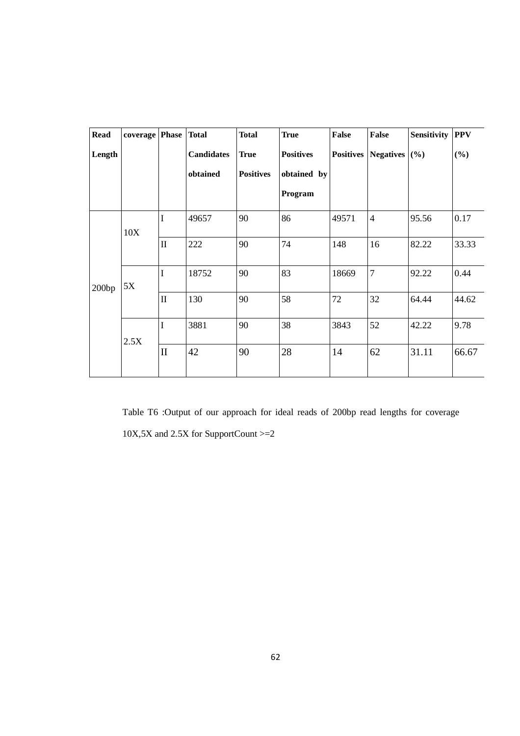| <b>Read</b> | coverage | <b>Phase</b> | <b>Total</b>      | <b>Total</b>     | <b>True</b>      | <b>False</b>     | <b>False</b>     | Sensitivity | <b>PPV</b> |
|-------------|----------|--------------|-------------------|------------------|------------------|------------------|------------------|-------------|------------|
| Length      |          |              | <b>Candidates</b> | <b>True</b>      | <b>Positives</b> | <b>Positives</b> | <b>Negatives</b> | (%)         | (%)        |
|             |          |              | obtained          | <b>Positives</b> | obtained by      |                  |                  |             |            |
|             |          |              |                   |                  | Program          |                  |                  |             |            |
| 200bp       | 10X      | $\bf I$      | 49657             | 90               | 86               | 49571            | $\overline{4}$   | 95.56       | 0.17       |
|             |          | $\mathbf{I}$ | 222               | 90               | 74               | 148              | 16               | 82.22       | 33.33      |
|             | 5X       | I            | 18752             | 90               | 83               | 18669            | $\overline{7}$   | 92.22       | 0.44       |
|             |          | $\mathbf{I}$ | 130               | 90               | 58               | 72               | 32               | 64.44       | 44.62      |
|             | 2.5X     | $\bf I$      | 3881              | 90               | 38               | 3843             | 52               | 42.22       | 9.78       |
|             |          | $\mathbf{I}$ | 42                | 90               | 28               | 14               | 62               | 31.11       | 66.67      |

Table T6 :Output of our approach for ideal reads of 200bp read lengths for coverage 10X,5X and 2.5X for SupportCount >=2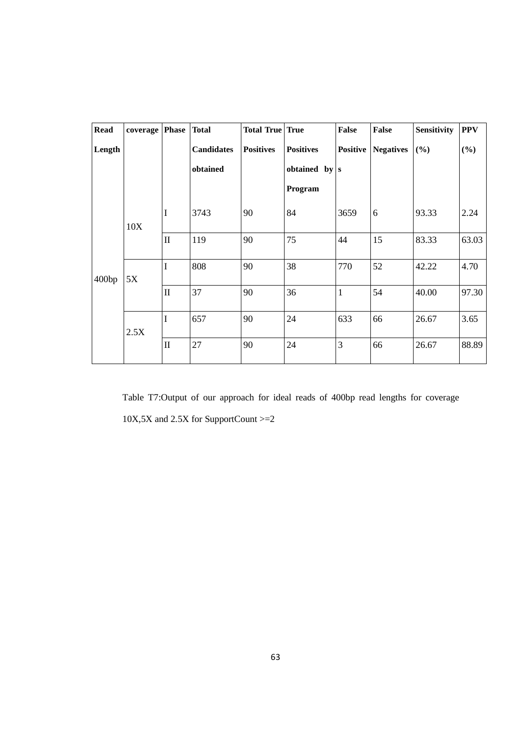| <b>Read</b> | coverage   Phase   Total |              |                   | <b>Total True True</b> |                   | <b>False</b> | <b>False</b>     | Sensitivity | <b>PPV</b> |
|-------------|--------------------------|--------------|-------------------|------------------------|-------------------|--------------|------------------|-------------|------------|
| Length      |                          |              | <b>Candidates</b> | <b>Positives</b>       | <b>Positives</b>  | Positive     | <b>Negatives</b> | (%)         | (%)        |
|             |                          |              | obtained          |                        | obtained by $ s $ |              |                  |             |            |
|             |                          |              |                   |                        | Program           |              |                  |             |            |
| 400bp       | 10X                      | I            | 3743              | 90                     | 84                | 3659         | 6                | 93.33       | 2.24       |
|             |                          | $\mathbf{I}$ | 119               | 90                     | 75                | 44           | 15               | 83.33       | 63.03      |
|             | 5X                       | I            | 808               | 90                     | 38                | 770          | 52               | 42.22       | 4.70       |
|             |                          | $\mathbf{I}$ | 37                | 90                     | 36                | $\mathbf{1}$ | 54               | 40.00       | 97.30      |
|             | 2.5X                     | $\bf I$      | 657               | 90                     | 24                | 633          | 66               | 26.67       | 3.65       |
|             |                          | $\mathbf{I}$ | 27                | 90                     | 24                | 3            | 66               | 26.67       | 88.89      |

Table T7:Output of our approach for ideal reads of 400bp read lengths for coverage 10X,5X and 2.5X for SupportCount >=2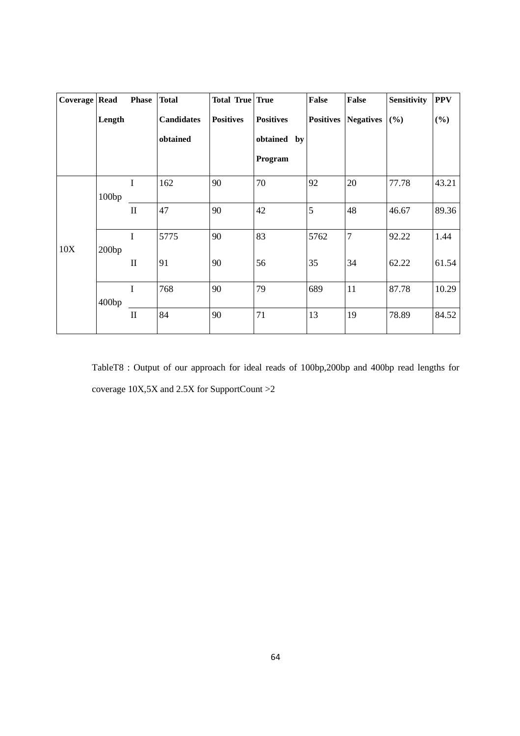| Coverage Read |        | <b>Phase</b> | <b>Total</b>      | <b>Total True True</b> |                  | False            | <b>False</b>     | <b>Sensitivity</b> | <b>PPV</b> |
|---------------|--------|--------------|-------------------|------------------------|------------------|------------------|------------------|--------------------|------------|
|               | Length |              | <b>Candidates</b> | <b>Positives</b>       | <b>Positives</b> | <b>Positives</b> | <b>Negatives</b> | (%)                | (%)        |
|               |        |              | obtained          |                        | obtained by      |                  |                  |                    |            |
|               |        |              |                   |                        | Program          |                  |                  |                    |            |
| 10X           | 100bp  | I            | 162               | 90                     | 70               | 92               | 20               | 77.78              | 43.21      |
|               |        | $\mathbf{I}$ | 47                | 90                     | 42               | 5                | 48               | 46.67              | 89.36      |
|               | 200bp  | $\mathbf I$  | 5775              | 90                     | 83               | 5762             | $\overline{7}$   | 92.22              | 1.44       |
|               |        | $\mathbf{I}$ | 91                | 90                     | 56               | 35               | 34               | 62.22              | 61.54      |
|               | 400bp  | $\mathbf I$  | 768               | 90                     | 79               | 689              | 11               | 87.78              | 10.29      |
|               |        | $\mathbf{I}$ | 84                | 90                     | 71               | 13               | 19               | 78.89              | 84.52      |

TableT8 : Output of our approach for ideal reads of 100bp,200bp and 400bp read lengths for coverage 10X,5X and 2.5X for SupportCount >2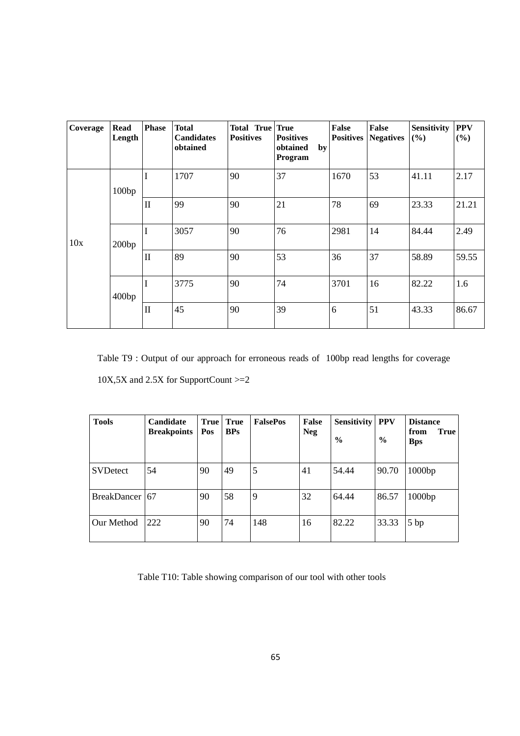| Coverage | <b>Read</b><br>Length | <b>Phase</b> | <b>Total</b><br><b>Candidates</b><br>obtained | Total True True<br><b>Positives</b> | <b>Positives</b><br>obtained<br>by<br>Program | False<br><b>Positives</b> | <b>False</b><br><b>Negatives</b> | <b>Sensitivity</b><br>(%) | <b>PPV</b><br>(%) |
|----------|-----------------------|--------------|-----------------------------------------------|-------------------------------------|-----------------------------------------------|---------------------------|----------------------------------|---------------------------|-------------------|
| 10x      | 100bp                 | I            | 1707                                          | 90                                  | 37                                            | 1670                      | 53                               | 41.11                     | 2.17              |
|          |                       | $\mathbf{I}$ | 99                                            | 90                                  | 21                                            | 78                        | 69                               | 23.33                     | 21.21             |
|          | 200bp                 | I            | 3057                                          | 90                                  | 76                                            | 2981                      | 14                               | 84.44                     | 2.49              |
|          |                       | $\mathbf{I}$ | 89                                            | 90                                  | 53                                            | 36                        | 37                               | 58.89                     | 59.55             |
|          | 400bp                 | I            | 3775                                          | 90                                  | 74                                            | 3701                      | 16                               | 82.22                     | 1.6               |
|          |                       | $\mathbf{I}$ | 45                                            | 90                                  | 39                                            | 6                         | 51                               | 43.33                     | 86.67             |

Table T9 : Output of our approach for erroneous reads of 100bp read lengths for coverage 10X,5X and 2.5X for SupportCount >=2

| <b>Tools</b>    | Candidate<br><b>Breakpoints</b> | <b>True</b><br>Pos | True<br><b>BPs</b> | <b>FalsePos</b> | False<br><b>Neg</b> | <b>Sensitivity</b><br>$\frac{6}{6}$ | <b>PPV</b><br>$\%$ | <b>Distance</b><br><b>True</b><br>from<br><b>Bps</b> |
|-----------------|---------------------------------|--------------------|--------------------|-----------------|---------------------|-------------------------------------|--------------------|------------------------------------------------------|
| <b>SVDetect</b> | 54                              | 90                 | 49                 | 5               | 41                  | 54.44                               | 90.70              | 1000bp                                               |
| BreakDancer 67  |                                 | 90                 | 58                 | 9               | 32                  | 64.44                               | 86.57              | 1000bp                                               |
| Our Method      | 222                             | 90                 | 74                 | 148             | 16                  | 82.22                               | 33.33              | 5bp                                                  |

Table T10: Table showing comparison of our tool with other tools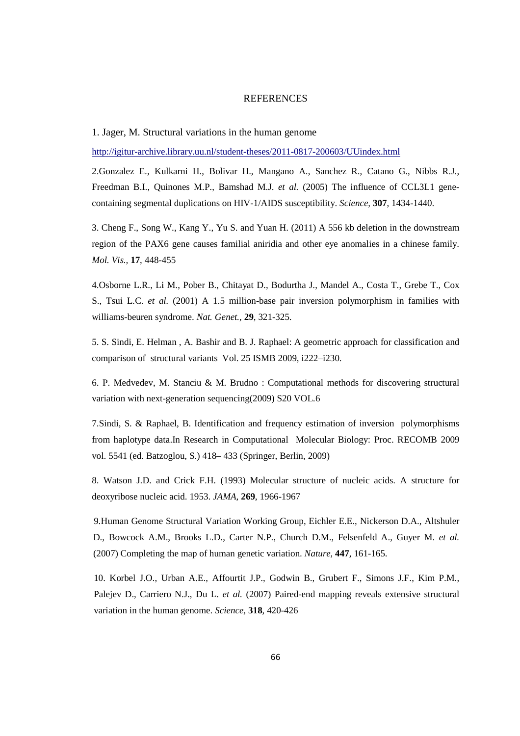## REFERENCES

1. Jager, M. Structural variations in the human genome

http://igitur-archive.library.uu.nl/student-theses/2011-0817-200603/UUindex.html

2.Gonzalez E., Kulkarni H., Bolivar H., Mangano A., Sanchez R., Catano G., Nibbs R.J., Freedman B.I., Quinones M.P., Bamshad M.J. *et al.* (2005) The influence of CCL3L1 genecontaining segmental duplications on HIV-1/AIDS susceptibility. *Science,* **307**, 1434-1440.

3. Cheng F., Song W., Kang Y., Yu S. and Yuan H. (2011) A 556 kb deletion in the downstream region of the PAX6 gene causes familial aniridia and other eye anomalies in a chinese family. *Mol. Vis.,* **17**, 448-455

4.Osborne L.R., Li M., Pober B., Chitayat D., Bodurtha J., Mandel A., Costa T., Grebe T., Cox S., Tsui L.C. *et al.* (2001) A 1.5 million-base pair inversion polymorphism in families with williams-beuren syndrome. *Nat. Genet.,* **29**, 321-325.

5. S. Sindi, E. Helman , A. Bashir and B. J. Raphael: A geometric approach for classification and comparison of structural variants Vol. 25 ISMB 2009, i222–i230.

6. P. Medvedev, M. Stanciu & M. Brudno : Computational methods for discovering structural variation with next-generation sequencing(2009) S20 VOL.6

7.Sindi, S. & Raphael, B. Identification and frequency estimation of inversion polymorphisms from haplotype data.In Research in Computational Molecular Biology: Proc. RECOMB 2009 vol. 5541 (ed. Batzoglou, S.) 418– 433 (Springer, Berlin, 2009)

8. Watson J.D. and Crick F.H. (1993) Molecular structure of nucleic acids. A structure for deoxyribose nucleic acid. 1953. *JAMA,* **269**, 1966-1967

9.Human Genome Structural Variation Working Group, Eichler E.E., Nickerson D.A., Altshuler D., Bowcock A.M., Brooks L.D., Carter N.P., Church D.M., Felsenfeld A., Guyer M. *et al.* (2007) Completing the map of human genetic variation. *Nature,* **447**, 161-165.

 10. Korbel J.O., Urban A.E., Affourtit J.P., Godwin B., Grubert F., Simons J.F., Kim P.M., Palejev D., Carriero N.J., Du L. *et al.* (2007) Paired-end mapping reveals extensive structural variation in the human genome. *Science,* **318**, 420-426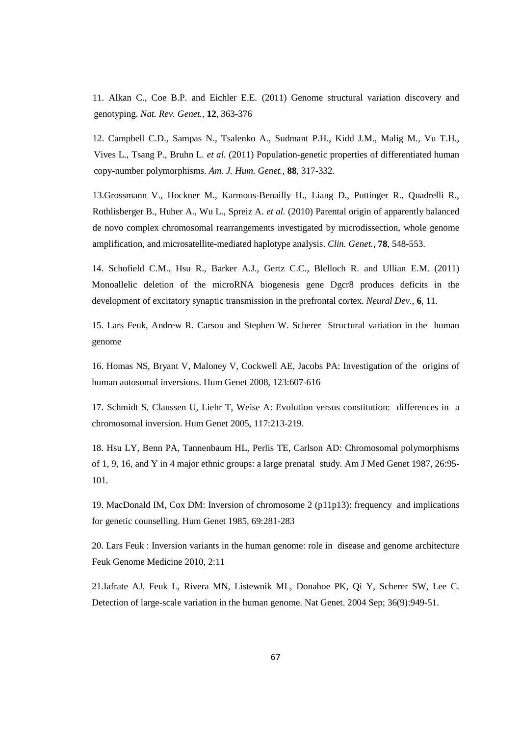11. Alkan C., Coe B.P. and Eichler E.E. (2011) Genome structural variation discovery and genotyping. *Nat. Rev. Genet.,* **12**, 363-376

12. Campbell C.D., Sampas N., Tsalenko A., Sudmant P.H., Kidd J.M., Malig M., Vu T.H., Vives L., Tsang P., Bruhn L. *et al.* (2011) Population-genetic properties of differentiated human copy-number polymorphisms. *Am. J. Hum. Genet.,* **88**, 317-332.

13.Grossmann V., Hockner M., Karmous-Benailly H., Liang D., Puttinger R., Quadrelli R., Rothlisberger B., Huber A., Wu L., Spreiz A. *et al.* (2010) Parental origin of apparently balanced de novo complex chromosomal rearrangements investigated by microdissection, whole genome amplification, and microsatellite-mediated haplotype analysis. *Clin. Genet.,* **78**, 548-553.

14. Schofield C.M., Hsu R., Barker A.J., Gertz C.C., Blelloch R. and Ullian E.M. (2011) Monoallelic deletion of the microRNA biogenesis gene Dgcr8 produces deficits in the development of excitatory synaptic transmission in the prefrontal cortex. *Neural Dev.,* **6**, 11.

15. Lars Feuk, Andrew R. Carson and Stephen W. Scherer Structural variation in the human genome

16. Homas NS, Bryant V, Maloney V, Cockwell AE, Jacobs PA: Investigation of the origins of human autosomal inversions. Hum Genet 2008, 123:607-616

17. Schmidt S, Claussen U, Liehr T, Weise A: Evolution versus constitution: differences in a chromosomal inversion. Hum Genet 2005, 117:213-219.

18. Hsu LY, Benn PA, Tannenbaum HL, Perlis TE, Carlson AD: Chromosomal polymorphisms of 1, 9, 16, and Y in 4 major ethnic groups: a large prenatal study. Am J Med Genet 1987, 26:95- 101.

19. MacDonald IM, Cox DM: Inversion of chromosome 2 (p11p13): frequency and implications for genetic counselling. Hum Genet 1985, 69:281-283

20. Lars Feuk : Inversion variants in the human genome: role in disease and genome architecture Feuk Genome Medicine 2010, 2:11

21.Iafrate AJ, Feuk L, Rivera MN, Listewnik ML, Donahoe PK, Qi Y, Scherer SW, Lee C. Detection of large-scale variation in the human genome. Nat Genet. 2004 Sep; 36(9):949-51.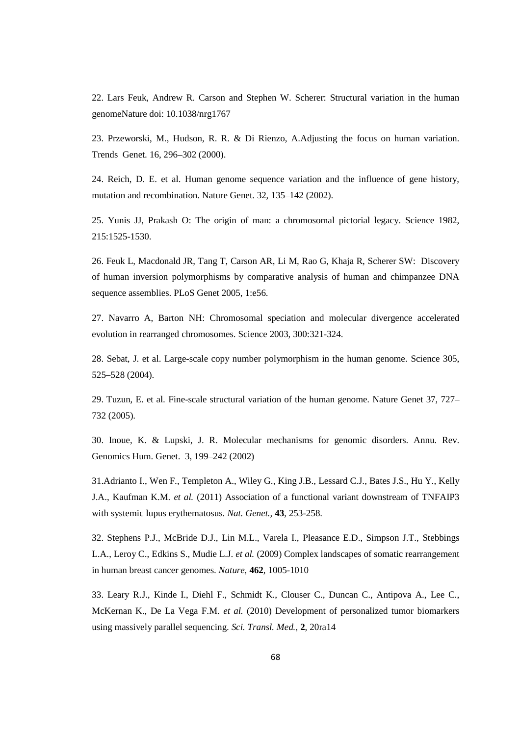22. Lars Feuk, Andrew R. Carson and Stephen W. Scherer: Structural variation in the human genomeNature doi: 10.1038/nrg1767

23. Przeworski, M., Hudson, R. R. & Di Rienzo, A.Adjusting the focus on human variation. Trends Genet. 16, 296–302 (2000).

24. Reich, D. E. et al. Human genome sequence variation and the influence of gene history, mutation and recombination. Nature Genet. 32, 135–142 (2002).

25. Yunis JJ, Prakash O: The origin of man: a chromosomal pictorial legacy. Science 1982, 215:1525-1530.

26. Feuk L, Macdonald JR, Tang T, Carson AR, Li M, Rao G, Khaja R, Scherer SW: Discovery of human inversion polymorphisms by comparative analysis of human and chimpanzee DNA sequence assemblies. PLoS Genet 2005, 1:e56.

27. Navarro A, Barton NH: Chromosomal speciation and molecular divergence accelerated evolution in rearranged chromosomes. Science 2003, 300:321-324.

28. Sebat, J. et al. Large-scale copy number polymorphism in the human genome. Science 305, 525–528 (2004).

29. Tuzun, E. et al. Fine-scale structural variation of the human genome. Nature Genet 37, 727– 732 (2005).

30. Inoue, K. & Lupski, J. R. Molecular mechanisms for genomic disorders. Annu. Rev. Genomics Hum. Genet. 3, 199–242 (2002)

31.Adrianto I., Wen F., Templeton A., Wiley G., King J.B., Lessard C.J., Bates J.S., Hu Y., Kelly J.A., Kaufman K.M. *et al.* (2011) Association of a functional variant downstream of TNFAIP3 with systemic lupus erythematosus. *Nat. Genet.,* **43**, 253-258.

32. Stephens P.J., McBride D.J., Lin M.L., Varela I., Pleasance E.D., Simpson J.T., Stebbings L.A., Leroy C., Edkins S., Mudie L.J. *et al.* (2009) Complex landscapes of somatic rearrangement in human breast cancer genomes. *Nature,* **462**, 1005-1010

33. Leary R.J., Kinde I., Diehl F., Schmidt K., Clouser C., Duncan C., Antipova A., Lee C., McKernan K., De La Vega F.M. *et al.* (2010) Development of personalized tumor biomarkers using massively parallel sequencing. *Sci. Transl. Med.,* **2**, 20ra14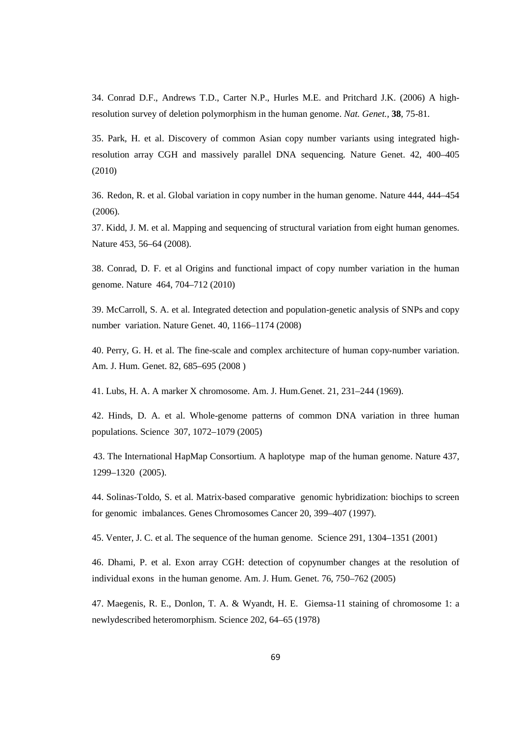34. Conrad D.F., Andrews T.D., Carter N.P., Hurles M.E. and Pritchard J.K. (2006) A highresolution survey of deletion polymorphism in the human genome. *Nat. Genet.,* **38**, 75-81.

35. Park, H. et al. Discovery of common Asian copy number variants using integrated highresolution array CGH and massively parallel DNA sequencing. Nature Genet. 42, 400–405 (2010)

36. Redon, R. et al. Global variation in copy number in the human genome. Nature 444, 444–454 (2006).

37. Kidd, J. M. et al. Mapping and sequencing of structural variation from eight human genomes. Nature 453, 56–64 (2008).

38. Conrad, D. F. et al Origins and functional impact of copy number variation in the human genome. Nature 464, 704–712 (2010)

39. McCarroll, S. A. et al. Integrated detection and population-genetic analysis of SNPs and copy number variation. Nature Genet. 40, 1166–1174 (2008)

40. Perry, G. H. et al. The fine-scale and complex architecture of human copy-number variation. Am. J. Hum. Genet. 82, 685–695 (2008 )

41. Lubs, H. A. A marker X chromosome. Am. J. Hum.Genet. 21, 231–244 (1969).

42. Hinds, D. A. et al. Whole-genome patterns of common DNA variation in three human populations. Science 307, 1072–1079 (2005)

43. The International HapMap Consortium. A haplotype map of the human genome. Nature 437, 1299–1320 (2005).

44. Solinas-Toldo, S. et al. Matrix-based comparative genomic hybridization: biochips to screen for genomic imbalances. Genes Chromosomes Cancer 20, 399–407 (1997).

45. Venter, J. C. et al. The sequence of the human genome. Science 291, 1304–1351 (2001)

46. Dhami, P. et al. Exon array CGH: detection of copynumber changes at the resolution of individual exons in the human genome. Am. J. Hum. Genet. 76, 750–762 (2005)

47. Maegenis, R. E., Donlon, T. A. & Wyandt, H. E. Giemsa-11 staining of chromosome 1: a newlydescribed heteromorphism. Science 202, 64–65 (1978)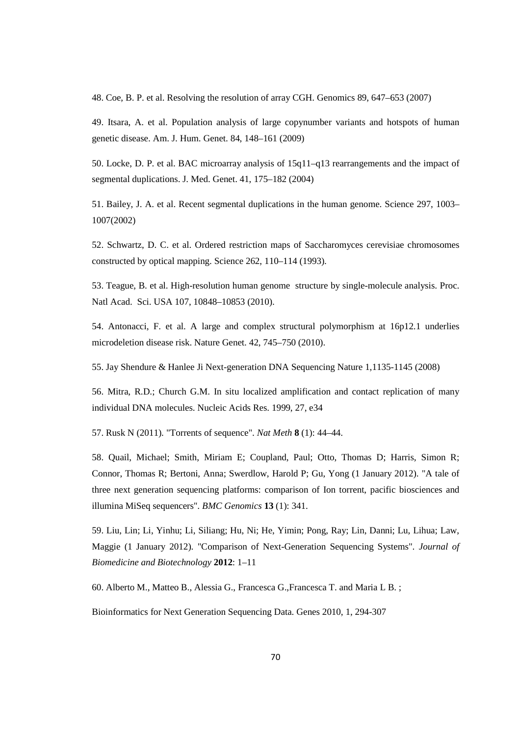48. Coe, B. P. et al. Resolving the resolution of array CGH. Genomics 89, 647–653 (2007)

49. Itsara, A. et al. Population analysis of large copynumber variants and hotspots of human genetic disease. Am. J. Hum. Genet. 84, 148–161 (2009)

50. Locke, D. P. et al. BAC microarray analysis of 15q11–q13 rearrangements and the impact of segmental duplications. J. Med. Genet. 41, 175–182 (2004)

51. Bailey, J. A. et al. Recent segmental duplications in the human genome. Science 297, 1003– 1007(2002)

52. Schwartz, D. C. et al. Ordered restriction maps of Saccharomyces cerevisiae chromosomes constructed by optical mapping. Science 262, 110–114 (1993).

53. Teague, B. et al. High-resolution human genome structure by single-molecule analysis. Proc. Natl Acad. Sci. USA 107, 10848–10853 (2010).

54. Antonacci, F. et al. A large and complex structural polymorphism at 16p12.1 underlies microdeletion disease risk. Nature Genet. 42, 745–750 (2010).

55. Jay Shendure & Hanlee Ji Next-generation DNA Sequencing Nature 1,1135-1145 (2008)

56. Mitra, R.D.; Church G.M. In situ localized amplification and contact replication of many individual DNA molecules. Nucleic Acids Res. 1999, 27, e34

57. Rusk N (2011). "Torrents of sequence". *Nat Meth* **8** (1): 44–44.

58. Quail, Michael; Smith, Miriam E; Coupland, Paul; Otto, Thomas D; Harris, Simon R; Connor, Thomas R; Bertoni, Anna; Swerdlow, Harold P; Gu, Yong (1 January 2012). "A tale of three next generation sequencing platforms: comparison of Ion torrent, pacific biosciences and illumina MiSeq sequencers". *BMC Genomics* **13** (1): 341.

59. Liu, Lin; Li, Yinhu; Li, Siliang; Hu, Ni; He, Yimin; Pong, Ray; Lin, Danni; Lu, Lihua; Law, Maggie (1 January 2012). "Comparison of Next-Generation Sequencing Systems". *Journal of Biomedicine and Biotechnology* **2012**: 1–11

60. Alberto M., Matteo B., Alessia G., Francesca G.,Francesca T. and Maria L B. ;

Bioinformatics for Next Generation Sequencing Data. Genes 2010, 1, 294-307